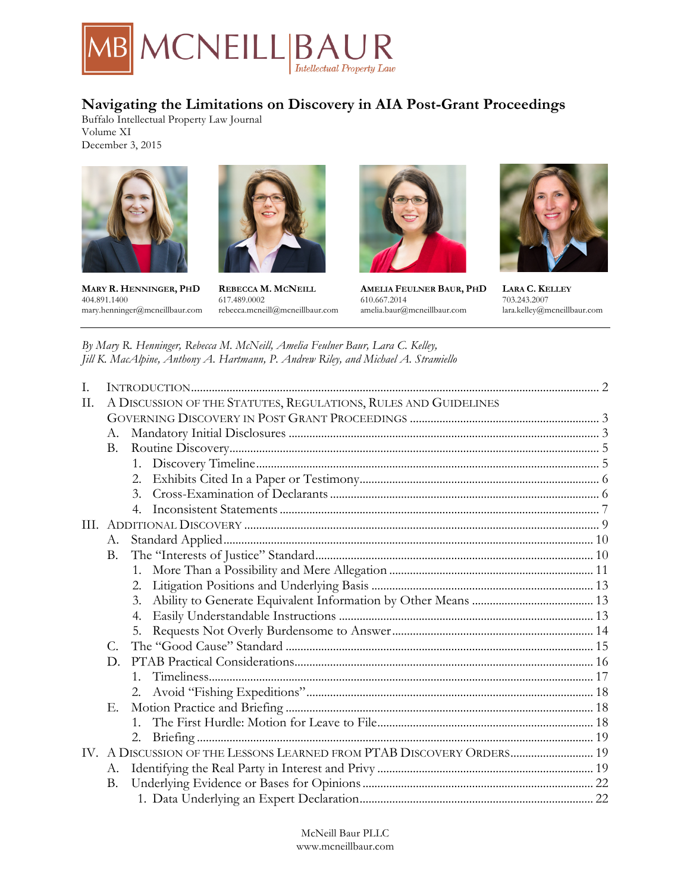

# **Navigating the Limitations on Discovery in AIA Post-Grant Proceedings**

Buffalo Intellectual Property Law Journal Volume XI December 3, 2015





**MARY R. HENNINGER, PHD REBECCA M. MCNEILL AMELIA FEULNER BAUR, PHD LARA C. KELLEY** 404.891.1400 617.489.0002 610.667.2014 703.243.2007



mary.henninger@mcneillbaur.com rebecca.mcneill@mcneillbaur.com amelia.baur@mcneillbaur.com lara.kelley@mcneillbaur.com



*By Mary R. Henninger, Rebecca M. McNeill, Amelia Feulner Baur, Lara C. Kelley, Jill K. MacAlpine, Anthony A. Hartmann, P. Andrew Riley, and Michael A. Stramiello*

| $\mathbf{I}$ . |                                                                       |                  |  |
|----------------|-----------------------------------------------------------------------|------------------|--|
| П.             | A DISCUSSION OF THE STATUTES, REGULATIONS, RULES AND GUIDELINES       |                  |  |
|                |                                                                       |                  |  |
|                | A.                                                                    |                  |  |
|                | <b>B.</b>                                                             |                  |  |
|                |                                                                       | $1_{-}$          |  |
|                |                                                                       | 2.               |  |
|                |                                                                       | $\mathcal{E}$    |  |
|                |                                                                       | $\overline{4}$ . |  |
| III.           |                                                                       |                  |  |
|                | А.                                                                    |                  |  |
|                | B.                                                                    |                  |  |
|                |                                                                       | $1_{-}$          |  |
|                |                                                                       | 2.               |  |
|                |                                                                       | 3.               |  |
|                |                                                                       | 4.               |  |
|                |                                                                       | 5.               |  |
|                | $C_{\cdot}$                                                           |                  |  |
|                | D.                                                                    |                  |  |
|                |                                                                       | $1 \quad$        |  |
|                |                                                                       |                  |  |
|                | Е.                                                                    |                  |  |
|                |                                                                       | $1_{-}$          |  |
|                |                                                                       | 2.               |  |
|                | IV. A DISCUSSION OF THE LESSONS LEARNED FROM PTAB DISCOVERY ORDERS 19 |                  |  |
|                | А.                                                                    |                  |  |
|                | <b>B.</b>                                                             |                  |  |
|                |                                                                       |                  |  |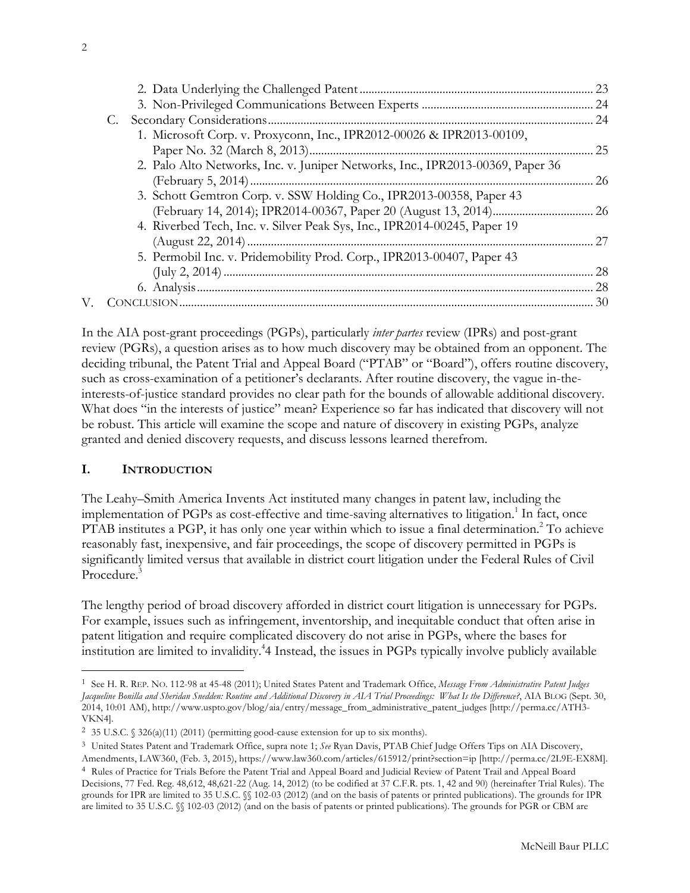<span id="page-1-0"></span>

| 1. Microsoft Corp. v. Proxyconn, Inc., IPR2012-00026 & IPR2013-00109,          |           |
|--------------------------------------------------------------------------------|-----------|
|                                                                                | 25        |
| 2. Palo Alto Networks, Inc. v. Juniper Networks, Inc., IPR2013-00369, Paper 36 |           |
|                                                                                | <b>26</b> |
| 3. Schott Gemtron Corp. v. SSW Holding Co., IPR2013-00358, Paper 43            |           |
|                                                                                |           |
| 4. Riverbed Tech, Inc. v. Silver Peak Sys, Inc., IPR2014-00245, Paper 19       |           |
|                                                                                | 27        |
| 5. Permobil Inc. v. Pridemobility Prod. Corp., IPR2013-00407, Paper 43         |           |
|                                                                                | 28        |
|                                                                                |           |
|                                                                                |           |
|                                                                                |           |

In the AIA post-grant proceedings (PGPs), particularly *inter partes* review (IPRs) and post-grant review (PGRs), a question arises as to how much discovery may be obtained from an opponent. The deciding tribunal, the Patent Trial and Appeal Board ("PTAB" or "Board"), offers routine discovery, such as cross-examination of a petitioner's declarants. After routine discovery, the vague in-theinterests-of-justice standard provides no clear path for the bounds of allowable additional discovery. What does "in the interests of justice" mean? Experience so far has indicated that discovery will not be robust. This article will examine the scope and nature of discovery in existing PGPs, analyze granted and denied discovery requests, and discuss lessons learned therefrom.

#### **I. INTRODUCTION**

The Leahy–Smith America Invents Act instituted many changes in patent law, including the implementation of PGPs as cost-effective and time-saving alternatives to litigation.<sup>1</sup> In fact, once PTAB institutes a PGP, it has only one year within which to issue a final determination.<sup>2</sup> To achieve reasonably fast, inexpensive, and fair proceedings, the scope of discovery permitted in PGPs is significantly limited versus that available in district court litigation under the Federal Rules of Civil Procedure.<sup>3</sup>

The lengthy period of broad discovery afforded in district court litigation is unnecessary for PGPs. For example, issues such as infringement, inventorship, and inequitable conduct that often arise in patent litigation and require complicated discovery do not arise in PGPs, where the bases for institution are limited to invalidity.4 4 Instead, the issues in PGPs typically involve publicly available

<sup>1</sup> See H. R. REP. NO. 112-98 at 45-48 (2011); United States Patent and Trademark Office, *Message From Administrative Patent Judges Jacqueline Bonilla and Sheridan Snedden: Routine and Additional Discovery in AIA Trial Proceedings: What Is the Difference?*, AIA BLOG (Sept. 30, 2014, 10:01 AM), http://www.uspto.gov/blog/aia/entry/message\_from\_administrative\_patent\_judges [http://perma.cc/ATH3- VKN4].

<sup>&</sup>lt;sup>2</sup> 35 U.S.C. § 326(a)(11) (2011) (permitting good-cause extension for up to six months).

<sup>3</sup> United States Patent and Trademark Office, supra note 1; *See* Ryan Davis, PTAB Chief Judge Offers Tips on AIA Discovery, Amendments, LAW360, (Feb. 3, 2015), https://www.law360.com/articles/615912/print?section=ip [http://perma.cc/2L9E-EX8M].

<sup>4</sup> Rules of Practice for Trials Before the Patent Trial and Appeal Board and Judicial Review of Patent Trail and Appeal Board Decisions, 77 Fed. Reg. 48,612, 48,621-22 (Aug. 14, 2012) (to be codified at 37 C.F.R. pts. 1, 42 and 90) (hereinafter Trial Rules). The grounds for IPR are limited to 35 U.S.C. §§ 102-03 (2012) (and on the basis of patents or printed publications). The grounds for IPR are limited to 35 U.S.C. §§ 102-03 (2012) (and on the basis of patents or printed publications). The grounds for PGR or CBM are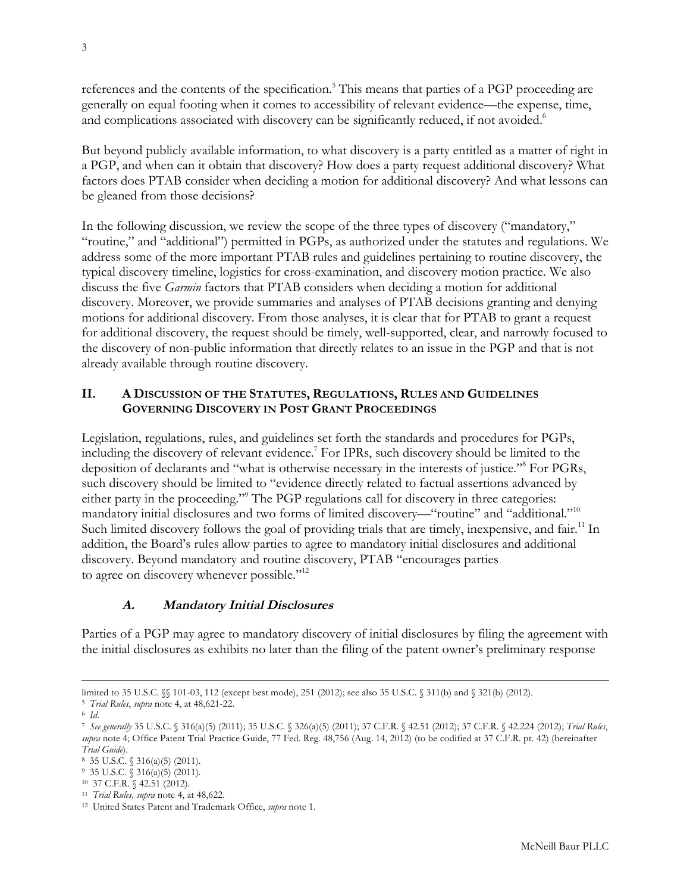<span id="page-2-0"></span>references and the contents of the specification.<sup>5</sup> This means that parties of a PGP proceeding are generally on equal footing when it comes to accessibility of relevant evidence—the expense, time, and complications associated with discovery can be significantly reduced, if not avoided.<sup>6</sup>

But beyond publicly available information, to what discovery is a party entitled as a matter of right in a PGP, and when can it obtain that discovery? How does a party request additional discovery? What factors does PTAB consider when deciding a motion for additional discovery? And what lessons can be gleaned from those decisions?

In the following discussion, we review the scope of the three types of discovery ("mandatory," "routine," and "additional") permitted in PGPs, as authorized under the statutes and regulations. We address some of the more important PTAB rules and guidelines pertaining to routine discovery, the typical discovery timeline, logistics for cross-examination, and discovery motion practice. We also discuss the five *Garmin* factors that PTAB considers when deciding a motion for additional discovery. Moreover, we provide summaries and analyses of PTAB decisions granting and denying motions for additional discovery. From those analyses, it is clear that for PTAB to grant a request for additional discovery, the request should be timely, well-supported, clear, and narrowly focused to the discovery of non-public information that directly relates to an issue in the PGP and that is not already available through routine discovery.

## **II. A DISCUSSION OF THE STATUTES, REGULATIONS, RULES AND GUIDELINES GOVERNING DISCOVERY IN POST GRANT PROCEEDINGS**

Legislation, regulations, rules, and guidelines set forth the standards and procedures for PGPs, including the discovery of relevant evidence.7 For IPRs, such discovery should be limited to the deposition of declarants and "what is otherwise necessary in the interests of justice."8 For PGRs, such discovery should be limited to "evidence directly related to factual assertions advanced by either party in the proceeding."<sup>9</sup> The PGP regulations call for discovery in three categories: mandatory initial disclosures and two forms of limited discovery—"routine" and "additional."10 Such limited discovery follows the goal of providing trials that are timely, inexpensive, and fair.<sup>11</sup> In addition, the Board's rules allow parties to agree to mandatory initial disclosures and additional discovery. Beyond mandatory and routine discovery, PTAB "encourages parties to agree on discovery whenever possible."<sup>12</sup>

#### **A. Mandatory Initial Disclosures**

Parties of a PGP may agree to mandatory discovery of initial disclosures by filing the agreement with the initial disclosures as exhibits no later than the filing of the patent owner's preliminary response

limited to 35 U.S.C. §§ 101-03, 112 (except best mode), 251 (2012); see also 35 U.S.C. § 311(b) and § 321(b) (2012).

<sup>5</sup> *Trial Rules*, *supra* note 4, at 48,621-22.

<sup>6</sup> *Id*.

<sup>7</sup> *See generally* 35 U.S.C. § 316(a)(5) (2011); 35 U.S.C. § 326(a)(5) (2011); 37 C.F.R. § 42.51 (2012); 37 C.F.R. § 42.224 (2012); *Trial Rules*, *supra* note 4; Office Patent Trial Practice Guide, 77 Fed. Reg. 48,756 (Aug. 14, 2012) (to be codified at 37 C.F.R. pt. 42) (hereinafter *Trial Guide*).

<sup>8 35</sup> U.S.C. § 316(a)(5) (2011).

<sup>9</sup> 35 U.S.C. § 316(a)(5) (2011).

<sup>10 37</sup> C.F.R. § 42.51 (2012).

<sup>11</sup> *Trial Rules, supra* note 4, at 48,622.

<sup>12</sup> United States Patent and Trademark Office, *supra* note 1.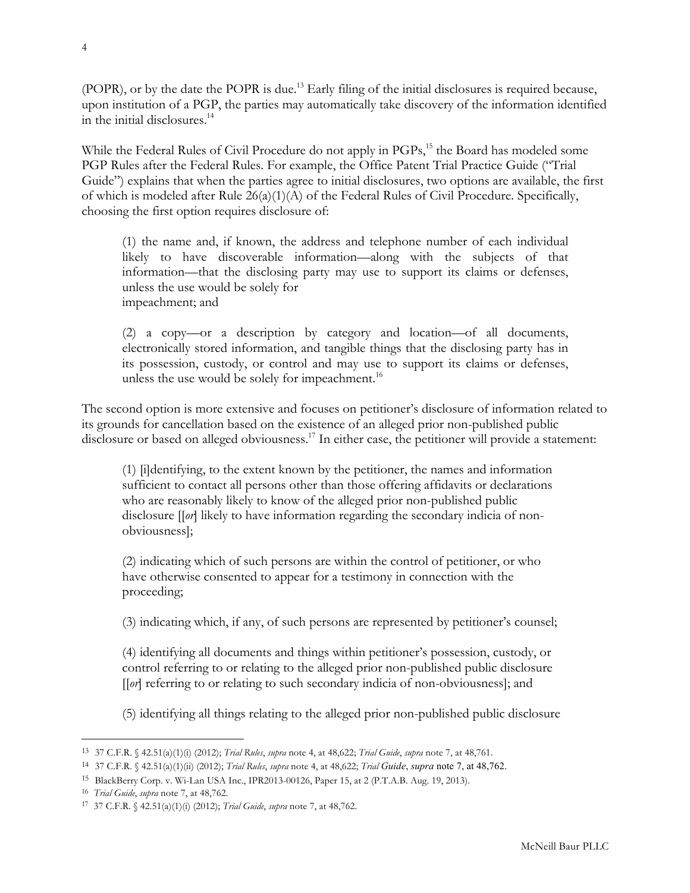(POPR), or by the date the POPR is due.<sup>13</sup> Early filing of the initial disclosures is required because, upon institution of a PGP, the parties may automatically take discovery of the information identified in the initial disclosures.<sup>14</sup>

While the Federal Rules of Civil Procedure do not apply in PGPs,<sup>15</sup> the Board has modeled some PGP Rules after the Federal Rules. For example, the Office Patent Trial Practice Guide ("Trial Guide") explains that when the parties agree to initial disclosures, two options are available, the first of which is modeled after Rule 26(a)(1)(A) of the Federal Rules of Civil Procedure. Specifically, choosing the first option requires disclosure of:

(1) the name and, if known, the address and telephone number of each individual likely to have discoverable information—along with the subjects of that information—that the disclosing party may use to support its claims or defenses, unless the use would be solely for impeachment; and

(2) a copy—or a description by category and location—of all documents, electronically stored information, and tangible things that the disclosing party has in its possession, custody, or control and may use to support its claims or defenses, unless the use would be solely for impeachment.<sup>16</sup>

The second option is more extensive and focuses on petitioner's disclosure of information related to its grounds for cancellation based on the existence of an alleged prior non-published public disclosure or based on alleged obviousness.<sup>17</sup> In either case, the petitioner will provide a statement:

(1) [i]dentifying, to the extent known by the petitioner, the names and information sufficient to contact all persons other than those offering affidavits or declarations who are reasonably likely to know of the alleged prior non-published public disclosure [[*or*] likely to have information regarding the secondary indicia of nonobviousness];

(2) indicating which of such persons are within the control of petitioner, or who have otherwise consented to appear for a testimony in connection with the proceeding;

(3) indicating which, if any, of such persons are represented by petitioner's counsel;

(4) identifying all documents and things within petitioner's possession, custody, or control referring to or relating to the alleged prior non-published public disclosure [[*or*] referring to or relating to such secondary indicia of non-obviousness]; and

(5) identifying all things relating to the alleged prior non-published public disclosure

<sup>13</sup> 37 C.F.R. § 42.51(a)(1)(i) (2012); *Trial Rules*, *supra* note 4, at 48,622; *Trial Guide*, *supra* note 7, at 48,761.

<sup>14</sup> 37 C.F.R. § 42.51(a)(1)(ii) (2012); *Trial Rules*, *supra* note 4, at 48,622; *Trial Guide*, *supra* note 7, at 48,762.

<sup>15</sup> BlackBerry Corp. v. Wi-Lan USA Inc., IPR2013-00126, Paper 15, at 2 (P.T.A.B. Aug. 19, 2013).

<sup>16</sup> *Trial Guide*, *supra* note 7, at 48,762.

<sup>17</sup> 37 C.F.R. § 42.51(a)(1)(i) (2012); *Trial Guide*, *supra* note 7, at 48,762.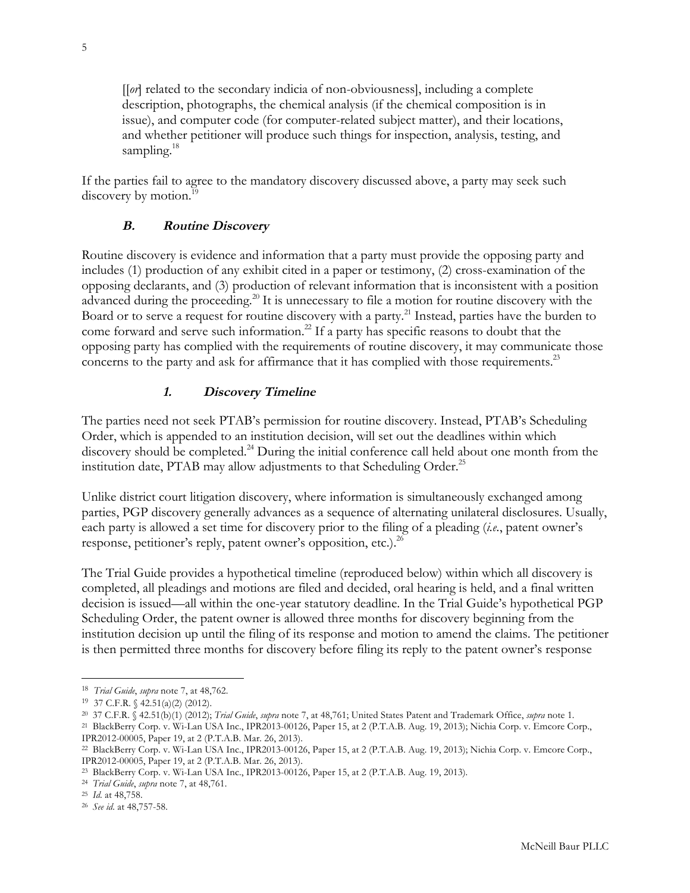<span id="page-4-0"></span>[[*or*] related to the secondary indicia of non-obviousness], including a complete description, photographs, the chemical analysis (if the chemical composition is in issue), and computer code (for computer-related subject matter), and their locations, and whether petitioner will produce such things for inspection, analysis, testing, and sampling. $18$ 

If the parties fail to agree to the mandatory discovery discussed above, a party may seek such discovery by motion.<sup>19</sup>

#### **B. Routine Discovery**

Routine discovery is evidence and information that a party must provide the opposing party and includes (1) production of any exhibit cited in a paper or testimony, (2) cross-examination of the opposing declarants, and (3) production of relevant information that is inconsistent with a position advanced during the proceeding.<sup>20</sup> It is unnecessary to file a motion for routine discovery with the Board or to serve a request for routine discovery with a party.<sup>21</sup> Instead, parties have the burden to come forward and serve such information.<sup>22</sup> If a party has specific reasons to doubt that the opposing party has complied with the requirements of routine discovery, it may communicate those concerns to the party and ask for affirmance that it has complied with those requirements.<sup>23</sup>

#### **1. Discovery Timeline**

The parties need not seek PTAB's permission for routine discovery. Instead, PTAB's Scheduling Order, which is appended to an institution decision, will set out the deadlines within which discovery should be completed.<sup>24</sup> During the initial conference call held about one month from the institution date, PTAB may allow adjustments to that Scheduling Order.<sup>25</sup>

Unlike district court litigation discovery, where information is simultaneously exchanged among parties, PGP discovery generally advances as a sequence of alternating unilateral disclosures. Usually, each party is allowed a set time for discovery prior to the filing of a pleading (*i.e.*, patent owner's response, petitioner's reply, patent owner's opposition, etc.).<sup>26</sup>

The Trial Guide provides a hypothetical timeline (reproduced below) within which all discovery is completed, all pleadings and motions are filed and decided, oral hearing is held, and a final written decision is issued—all within the one-year statutory deadline. In the Trial Guide's hypothetical PGP Scheduling Order, the patent owner is allowed three months for discovery beginning from the institution decision up until the filing of its response and motion to amend the claims. The petitioner is then permitted three months for discovery before filing its reply to the patent owner's response

<sup>18</sup> *Trial Guide*, *supra* note 7, at 48,762.

<sup>19</sup> 37 C.F.R. § 42.51(a)(2) (2012).

<sup>20 37</sup> C.F.R. § 42.51(b)(1) (2012); *Trial Guide*, *supra* note 7, at 48,761; United States Patent and Trademark Office, *supra* note 1.

<sup>21</sup> BlackBerry Corp. v. Wi-Lan USA Inc., IPR2013-00126, Paper 15, at 2 (P.T.A.B. Aug. 19, 2013); Nichia Corp. v. Emcore Corp., IPR2012-00005, Paper 19, at 2 (P.T.A.B. Mar. 26, 2013).

<sup>22</sup> BlackBerry Corp. v. Wi-Lan USA Inc., IPR2013-00126, Paper 15, at 2 (P.T.A.B. Aug. 19, 2013); Nichia Corp. v. Emcore Corp., IPR2012-00005, Paper 19, at 2 (P.T.A.B. Mar. 26, 2013).

<sup>23</sup> BlackBerry Corp. v. Wi-Lan USA Inc., IPR2013-00126, Paper 15, at 2 (P.T.A.B. Aug. 19, 2013).

<sup>24</sup> *Trial Guide*, *supra* note 7, at 48,761.

<sup>25</sup> *Id*. at 48,758.

<sup>26</sup> *See id*. at 48,757-58.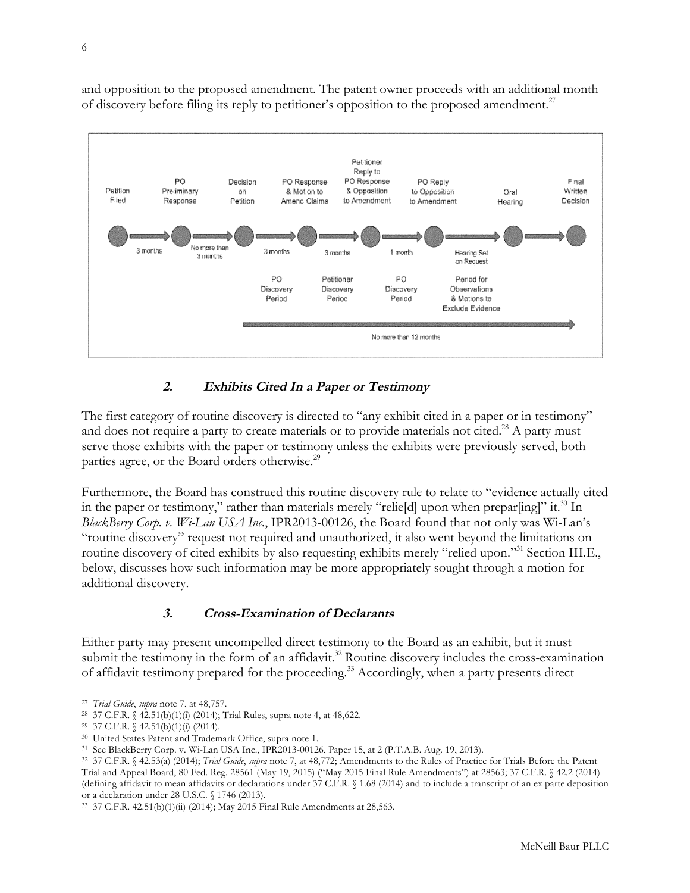<span id="page-5-0"></span>and opposition to the proposed amendment. The patent owner proceeds with an additional month of discovery before filing its reply to petitioner's opposition to the proposed amendment.<sup>27</sup>



# **2. Exhibits Cited In a Paper or Testimony**

The first category of routine discovery is directed to "any exhibit cited in a paper or in testimony" and does not require a party to create materials or to provide materials not cited.<sup>28</sup> A party must serve those exhibits with the paper or testimony unless the exhibits were previously served, both parties agree, or the Board orders otherwise.<sup>29</sup>

Furthermore, the Board has construed this routine discovery rule to relate to "evidence actually cited in the paper or testimony," rather than materials merely "reliefd] upon when preparfing]" it.<sup>30</sup> In *BlackBerry Corp. v. Wi-Lan USA Inc.*, IPR2013-00126, the Board found that not only was Wi-Lan's "routine discovery" request not required and unauthorized, it also went beyond the limitations on routine discovery of cited exhibits by also requesting exhibits merely "relied upon."31 Section III.E., below, discusses how such information may be more appropriately sought through a motion for additional discovery.

# **3. Cross-Examination of Declarants**

Either party may present uncompelled direct testimony to the Board as an exhibit, but it must submit the testimony in the form of an affidavit.<sup>32</sup> Routine discovery includes the cross-examination of affidavit testimony prepared for the proceeding.<sup>33</sup> Accordingly, when a party presents direct

l 27 *Trial Guide*, *supra* note 7, at 48,757.

<sup>28</sup> 37 C.F.R. § 42.51(b)(1)(i) (2014); Trial Rules, supra note 4, at 48,622.

<sup>29</sup> 37 C.F.R. § 42.51(b)(1)(i) (2014).

<sup>30</sup> United States Patent and Trademark Office, supra note 1.

<sup>31</sup> See BlackBerry Corp. v. Wi-Lan USA Inc., IPR2013-00126, Paper 15, at 2 (P.T.A.B. Aug. 19, 2013).

<sup>32</sup> 37 C.F.R. § 42.53(a) (2014); *Trial Guide*, *supra* note 7, at 48,772; Amendments to the Rules of Practice for Trials Before the Patent Trial and Appeal Board, 80 Fed. Reg. 28561 (May 19, 2015) ("May 2015 Final Rule Amendments") at 28563; 37 C.F.R. § 42.2 (2014) (defining affidavit to mean affidavits or declarations under 37 C.F.R. § 1.68 (2014) and to include a transcript of an ex parte deposition or a declaration under 28 U.S.C. § 1746 (2013).

<sup>33</sup> 37 C.F.R. 42.51(b)(1)(ii) (2014); May 2015 Final Rule Amendments at 28,563.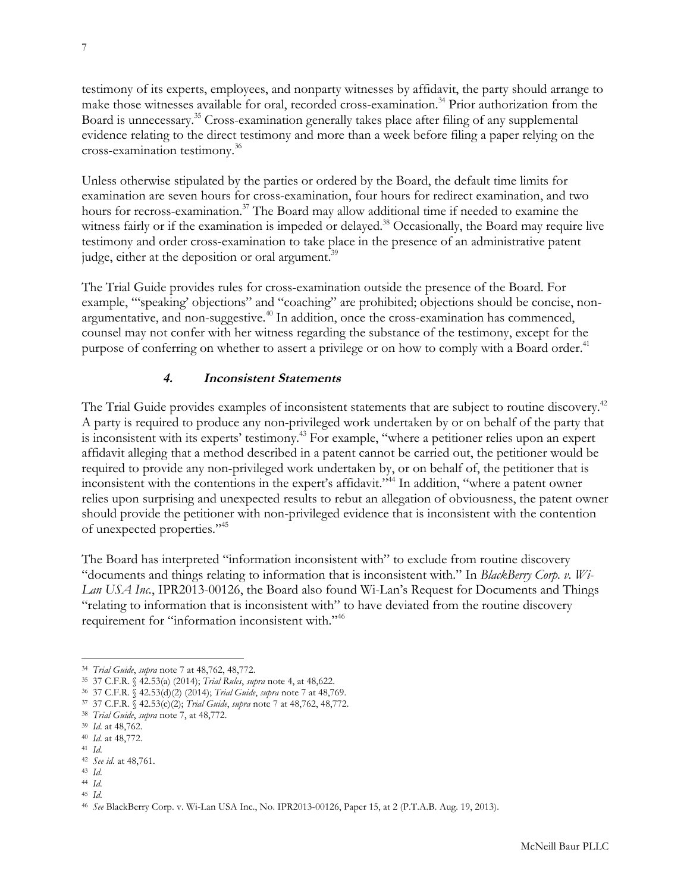<span id="page-6-0"></span>testimony of its experts, employees, and nonparty witnesses by affidavit, the party should arrange to make those witnesses available for oral, recorded cross-examination.<sup>34</sup> Prior authorization from the Board is unnecessary.35 Cross-examination generally takes place after filing of any supplemental evidence relating to the direct testimony and more than a week before filing a paper relying on the cross-examination testimony.36

Unless otherwise stipulated by the parties or ordered by the Board, the default time limits for examination are seven hours for cross-examination, four hours for redirect examination, and two hours for recross-examination.<sup>37</sup> The Board may allow additional time if needed to examine the witness fairly or if the examination is impeded or delayed.<sup>38</sup> Occasionally, the Board may require live testimony and order cross-examination to take place in the presence of an administrative patent judge, either at the deposition or oral argument.<sup>39</sup>

The Trial Guide provides rules for cross-examination outside the presence of the Board. For example, "'speaking' objections" and "coaching" are prohibited; objections should be concise, nonargumentative, and non-suggestive.<sup> $40$ </sup> In addition, once the cross-examination has commenced, counsel may not confer with her witness regarding the substance of the testimony, except for the purpose of conferring on whether to assert a privilege or on how to comply with a Board order.<sup>41</sup>

#### **4. Inconsistent Statements**

The Trial Guide provides examples of inconsistent statements that are subject to routine discovery.<sup>42</sup> A party is required to produce any non-privileged work undertaken by or on behalf of the party that is inconsistent with its experts' testimony.43 For example, "where a petitioner relies upon an expert affidavit alleging that a method described in a patent cannot be carried out, the petitioner would be required to provide any non-privileged work undertaken by, or on behalf of, the petitioner that is inconsistent with the contentions in the expert's affidavit."44 In addition, "where a patent owner relies upon surprising and unexpected results to rebut an allegation of obviousness, the patent owner should provide the petitioner with non-privileged evidence that is inconsistent with the contention of unexpected properties."45

The Board has interpreted "information inconsistent with" to exclude from routine discovery "documents and things relating to information that is inconsistent with." In *BlackBerry Corp. v. Wi-Lan USA Inc.*, IPR2013-00126, the Board also found Wi-Lan's Request for Documents and Things "relating to information that is inconsistent with" to have deviated from the routine discovery requirement for "information inconsistent with."46

<sup>34</sup> *Trial Guide*, *supra* note 7 at 48,762, 48,772.

<sup>35</sup> 37 C.F.R. § 42.53(a) (2014); *Trial Rules*, *supra* note 4, at 48,622.

<sup>36</sup> 37 C.F.R. § 42.53(d)(2) (2014); *Trial Guide*, *supra* note 7 at 48,769.

<sup>37</sup> 37 C.F.R. § 42.53(c)(2); *Trial Guide*, *supra* note 7 at 48,762, 48,772.

<sup>38</sup> *Trial Guide*, *supra* note 7, at 48,772.

<sup>39</sup> *Id*. at 48,762.

<sup>40</sup> *Id*. at 48,772.

<sup>41</sup> *Id*.

<sup>42</sup> *See id*. at 48,761.

<sup>43</sup> *Id*.

<sup>44</sup> *Id*.

<sup>45</sup> *Id*.

<sup>46</sup> *See* BlackBerry Corp. v. Wi-Lan USA Inc., No. IPR2013-00126, Paper 15, at 2 (P.T.A.B. Aug. 19, 2013).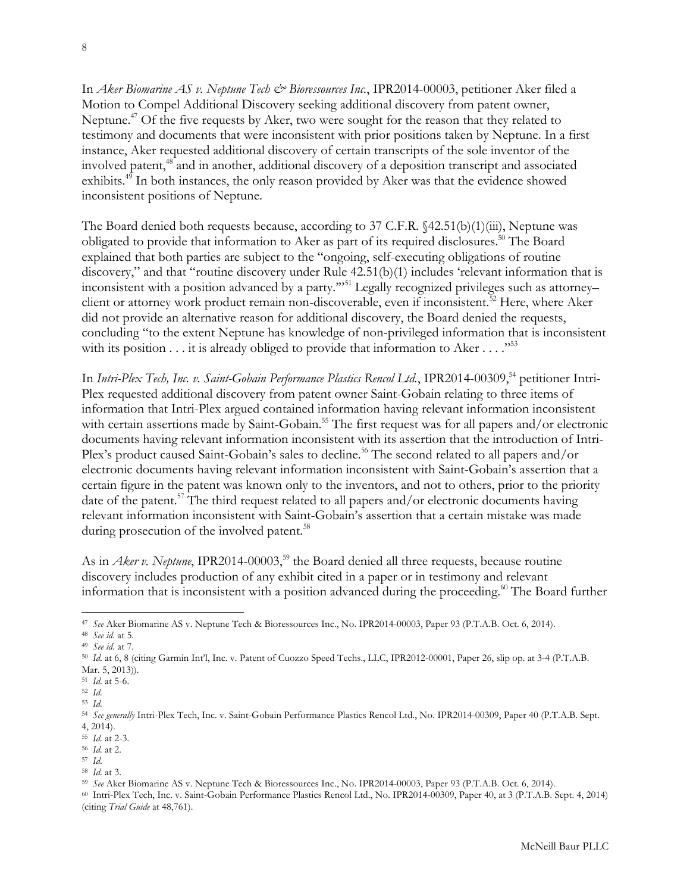In *Aker Biomarine AS v. Neptune Tech & Bioressources Inc.*, IPR2014-00003, petitioner Aker filed a Motion to Compel Additional Discovery seeking additional discovery from patent owner, Neptune.<sup>47</sup> Of the five requests by Aker, two were sought for the reason that they related to testimony and documents that were inconsistent with prior positions taken by Neptune. In a first instance, Aker requested additional discovery of certain transcripts of the sole inventor of the involved patent,<sup>48</sup> and in another, additional discovery of a deposition transcript and associated exhibits.<sup>49</sup> In both instances, the only reason provided by Aker was that the evidence showed inconsistent positions of Neptune.

The Board denied both requests because, according to 37 C.F.R. §42.51(b)(1)(iii), Neptune was obligated to provide that information to Aker as part of its required disclosures.<sup>50</sup> The Board explained that both parties are subject to the "ongoing, self-executing obligations of routine discovery," and that "routine discovery under Rule 42.51(b)(1) includes 'relevant information that is inconsistent with a position advanced by a party.'"51 Legally recognized privileges such as attorney– client or attorney work product remain non-discoverable, even if inconsistent.<sup>52</sup> Here, where Aker did not provide an alternative reason for additional discovery, the Board denied the requests, concluding "to the extent Neptune has knowledge of non-privileged information that is inconsistent with its position  $\dots$  it is already obliged to provide that information to Aker  $\dots$ ."<sup>53</sup>

In *Intri-Plex Tech, Inc. v. Saint-Gobain Performance Plastics Rencol Ltd.*, IPR2014-00309,<sup>54</sup> petitioner Intri-Plex requested additional discovery from patent owner Saint-Gobain relating to three items of information that Intri-Plex argued contained information having relevant information inconsistent with certain assertions made by Saint-Gobain.<sup>55</sup> The first request was for all papers and/or electronic documents having relevant information inconsistent with its assertion that the introduction of Intri-Plex's product caused Saint-Gobain's sales to decline.<sup>56</sup> The second related to all papers and/or electronic documents having relevant information inconsistent with Saint-Gobain's assertion that a certain figure in the patent was known only to the inventors, and not to others, prior to the priority date of the patent.<sup>57</sup> The third request related to all papers and/or electronic documents having relevant information inconsistent with Saint-Gobain's assertion that a certain mistake was made during prosecution of the involved patent.<sup>58</sup>

As in *Aker v. Neptune*, IPR2014-00003,<sup>59</sup> the Board denied all three requests, because routine discovery includes production of any exhibit cited in a paper or in testimony and relevant information that is inconsistent with a position advanced during the proceeding.<sup>60</sup> The Board further

 $\overline{a}$ <sup>47</sup> *See* Aker Biomarine AS v. Neptune Tech & Bioressources Inc., No. IPR2014-00003, Paper 93 (P.T.A.B. Oct. 6, 2014).

<sup>48</sup> *See id*. at 5.

<sup>49</sup> *See id*. at 7.

<sup>50</sup> *Id*. at 6, 8 (citing Garmin Int'l, Inc. v. Patent of Cuozzo Speed Techs., LLC, IPR2012-00001, Paper 26, slip op. at 3-4 (P.T.A.B. Mar. 5, 2013)).

<sup>51</sup> *Id*. at 5-6.

<sup>52</sup> *Id*.

<sup>53</sup> *Id*.

<sup>54</sup> *See generally* Intri-Plex Tech, Inc. v. Saint-Gobain Performance Plastics Rencol Ltd., No. IPR2014-00309, Paper 40 (P.T.A.B. Sept. 4, 2014).

<sup>55</sup> *Id*. at 2-3.

<sup>56</sup> *Id*. at 2.

<sup>57</sup> *Id*.

<sup>58</sup> *Id*. at 3.

<sup>59</sup> *See* Aker Biomarine AS v. Neptune Tech & Bioressources Inc., No. IPR2014-00003, Paper 93 (P.T.A.B. Oct. 6, 2014).

<sup>60</sup> Intri-Plex Tech, Inc. v. Saint-Gobain Performance Plastics Rencol Ltd., No. IPR2014-00309, Paper 40, at 3 (P.T.A.B. Sept. 4, 2014) (citing *Trial Guide* at 48,761).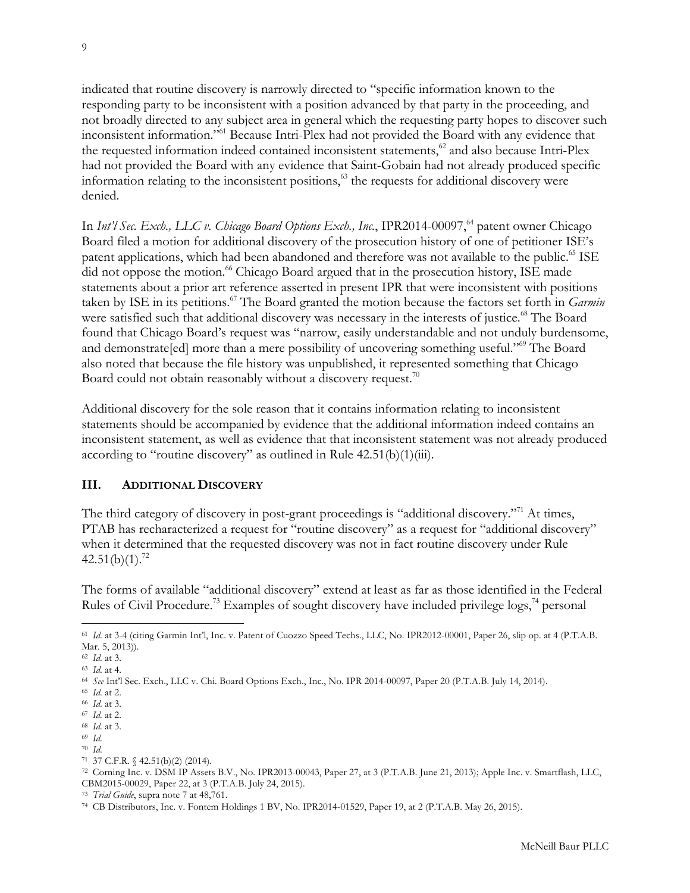<span id="page-8-0"></span>indicated that routine discovery is narrowly directed to "specific information known to the responding party to be inconsistent with a position advanced by that party in the proceeding, and not broadly directed to any subject area in general which the requesting party hopes to discover such inconsistent information."61 Because Intri-Plex had not provided the Board with any evidence that the requested information indeed contained inconsistent statements, $62$  and also because Intri-Plex had not provided the Board with any evidence that Saint-Gobain had not already produced specific information relating to the inconsistent positions,<sup>63</sup> the requests for additional discovery were denied.

In *Int'l Sec. Exch., LLC v. Chicago Board Options Exch., Inc.*, IPR2014-00097,<sup>64</sup> patent owner Chicago Board filed a motion for additional discovery of the prosecution history of one of petitioner ISE's patent applications, which had been abandoned and therefore was not available to the public.<sup>65</sup> ISE did not oppose the motion.<sup>66</sup> Chicago Board argued that in the prosecution history, ISE made statements about a prior art reference asserted in present IPR that were inconsistent with positions taken by ISE in its petitions.<sup>67</sup> The Board granted the motion because the factors set forth in *Garmin* were satisfied such that additional discovery was necessary in the interests of justice.<sup>68</sup> The Board found that Chicago Board's request was "narrow, easily understandable and not unduly burdensome, and demonstrate[ed] more than a mere possibility of uncovering something useful."<sup>69</sup> The Board also noted that because the file history was unpublished, it represented something that Chicago Board could not obtain reasonably without a discovery request.<sup>70</sup>

Additional discovery for the sole reason that it contains information relating to inconsistent statements should be accompanied by evidence that the additional information indeed contains an inconsistent statement, as well as evidence that that inconsistent statement was not already produced according to "routine discovery" as outlined in Rule  $42.51(b)(1)(iii)$ .

#### **III. ADDITIONAL DISCOVERY**

The third category of discovery in post-grant proceedings is "additional discovery."<sup>71</sup> At times, PTAB has recharacterized a request for "routine discovery" as a request for "additional discovery" when it determined that the requested discovery was not in fact routine discovery under Rule  $42.51(b)(1).^{72}$ 

The forms of available "additional discovery" extend at least as far as those identified in the Federal Rules of Civil Procedure.<sup>73</sup> Examples of sought discovery have included privilege  $\log s$ ,<sup>74</sup> personal

 $\overline{a}$ <sup>61</sup> *Id.* at 3-4 (citing Garmin Int'l, Inc. v. Patent of Cuozzo Speed Techs., LLC, No. IPR2012-00001, Paper 26, slip op. at 4 (P.T.A.B. Mar. 5, 2013)).

<sup>62</sup> *Id*. at 3.

<sup>63</sup> *Id*. at 4.

<sup>64</sup> *See* Int'l Sec. Exch., LLC v. Chi. Board Options Exch., Inc., No. IPR 2014-00097, Paper 20 (P.T.A.B. July 14, 2014).

<sup>65</sup> *Id*. at 2.

<sup>66</sup> *Id*. at 3.

<sup>67</sup> *Id*. at 2.

<sup>68</sup> *Id*. at 3.

<sup>69</sup> *Id*.

<sup>70</sup> *Id*.

<sup>71</sup> 37 C.F.R. § 42.51(b)(2) (2014).

<sup>72</sup> Corning Inc. v. DSM IP Assets B.V., No. IPR2013-00043, Paper 27, at 3 (P.T.A.B. June 21, 2013); Apple Inc. v. Smartflash, LLC, CBM2015-00029, Paper 22, at 3 (P.T.A.B. July 24, 2015).

<sup>73</sup> *Trial Guide*, supra note 7 at 48,761.

<sup>74</sup> CB Distributors, Inc. v. Fontem Holdings 1 BV, No. IPR2014-01529, Paper 19, at 2 (P.T.A.B. May 26, 2015).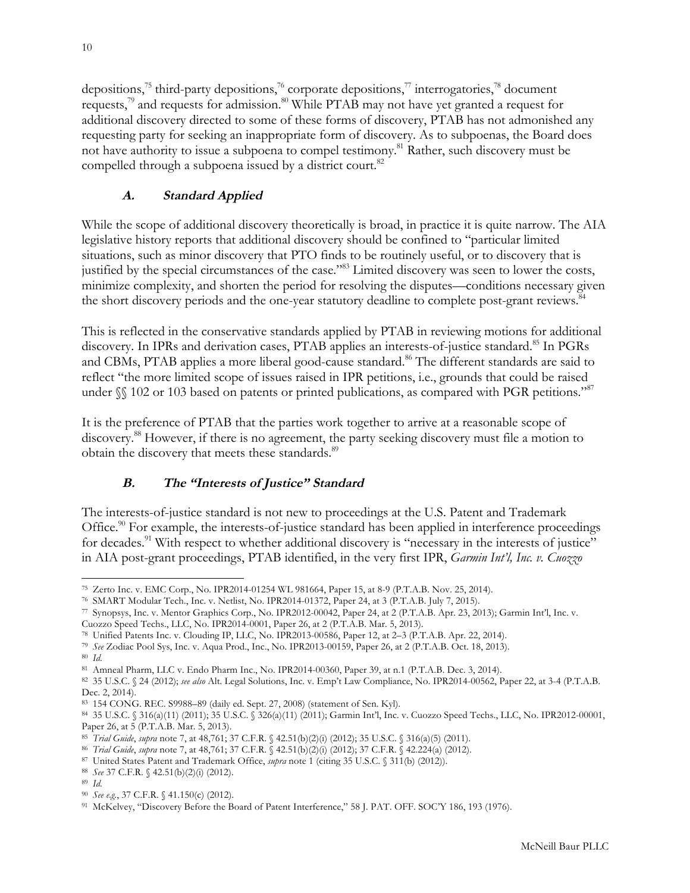<span id="page-9-0"></span>depositions,<sup>75</sup> third-party depositions,<sup>76</sup> corporate depositions,<sup>77</sup> interrogatories,<sup>78</sup> document requests,<sup>79</sup> and requests for admission.<sup>80</sup> While PTAB may not have yet granted a request for additional discovery directed to some of these forms of discovery, PTAB has not admonished any requesting party for seeking an inappropriate form of discovery. As to subpoenas, the Board does not have authority to issue a subpoena to compel testimony.<sup>81</sup> Rather, such discovery must be compelled through a subpoena issued by a district court.<sup>82</sup>

# **A. Standard Applied**

While the scope of additional discovery theoretically is broad, in practice it is quite narrow. The AIA legislative history reports that additional discovery should be confined to "particular limited situations, such as minor discovery that PTO finds to be routinely useful, or to discovery that is justified by the special circumstances of the case."83 Limited discovery was seen to lower the costs, minimize complexity, and shorten the period for resolving the disputes—conditions necessary given the short discovery periods and the one-year statutory deadline to complete post-grant reviews.<sup>84</sup>

This is reflected in the conservative standards applied by PTAB in reviewing motions for additional discovery. In IPRs and derivation cases, PTAB applies an interests-of-justice standard.<sup>85</sup> In PGRs and CBMs, PTAB applies a more liberal good-cause standard.<sup>86</sup> The different standards are said to reflect "the more limited scope of issues raised in IPR petitions, i.e., grounds that could be raised under  $\mathcal{N}$  102 or 103 based on patents or printed publications, as compared with PGR petitions."<sup>87</sup>

It is the preference of PTAB that the parties work together to arrive at a reasonable scope of discovery.88 However, if there is no agreement, the party seeking discovery must file a motion to obtain the discovery that meets these standards.<sup>89</sup>

# **B. The "Interests of Justice" Standard**

The interests-of-justice standard is not new to proceedings at the U.S. Patent and Trademark Office.<sup>90</sup> For example, the interests-of-justice standard has been applied in interference proceedings for decades.<sup>91</sup> With respect to whether additional discovery is "necessary in the interests of justice" in AIA post-grant proceedings, PTAB identified, in the very first IPR, *Garmin Int'l, Inc. v. Cuozzo* 

l <sup>75</sup> Zerto Inc. v. EMC Corp., No. IPR2014-01254 WL 981664, Paper 15, at 8-9 (P.T.A.B. Nov. 25, 2014).

<sup>76</sup> SMART Modular Tech., Inc. v. Netlist, No. IPR2014-01372, Paper 24, at 3 (P.T.A.B. July 7, 2015).

<sup>77</sup> Synopsys, Inc. v. Mentor Graphics Corp., No. IPR2012-00042, Paper 24, at 2 (P.T.A.B. Apr. 23, 2013); Garmin Int'l, Inc. v. Cuozzo Speed Techs., LLC, No. IPR2014-0001, Paper 26, at 2 (P.T.A.B. Mar. 5, 2013).

<sup>78</sup> Unified Patents Inc. v. Clouding IP, LLC, No. IPR2013-00586, Paper 12, at 2–3 (P.T.A.B. Apr. 22, 2014).

<sup>79</sup> *See* Zodiac Pool Sys, Inc. v. Aqua Prod., Inc., No. IPR2013-00159, Paper 26, at 2 (P.T.A.B. Oct. 18, 2013).

<sup>80</sup> *Id*.

<sup>81</sup> Amneal Pharm, LLC v. Endo Pharm Inc., No. IPR2014-00360, Paper 39, at n.1 (P.T.A.B. Dec. 3, 2014).

<sup>82</sup> 35 U.S.C. § 24 (2012); *see also* Alt. Legal Solutions, Inc. v. Emp't Law Compliance, No. IPR2014-00562, Paper 22, at 3-4 (P.T.A.B. Dec. 2, 2014).

<sup>83</sup> 154 CONG. REC. S9988–89 (daily ed. Sept. 27, 2008) (statement of Sen. Kyl).

<sup>84</sup> 35 U.S.C. § 316(a)(11) (2011); 35 U.S.C. § 326(a)(11) (2011); Garmin Int'l, Inc. v. Cuozzo Speed Techs., LLC, No. IPR2012-00001, Paper 26, at 5 (P.T.A.B. Mar. 5, 2013).

<sup>85</sup> *Trial Guide*, *supra* note 7, at 48,761; 37 C.F.R. § 42.51(b)(2)(i) (2012); 35 U.S.C. § 316(a)(5) (2011).

<sup>86</sup> *Trial Guide*, *supra* note 7, at 48,761; 37 C.F.R. § 42.51(b)(2)(i) (2012); 37 C.F.R. § 42.224(a) (2012).

<sup>87</sup> United States Patent and Trademark Office, *supra* note 1 (citing 35 U.S.C. § 311(b) (2012)).

<sup>88</sup> *See* 37 C.F.R. § 42.51(b)(2)(i) (2012).

<sup>89</sup> *Id*.

<sup>90</sup> *See e.g.*, 37 C.F.R. § 41.150(c) (2012).

<sup>91</sup> McKelvey, "Discovery Before the Board of Patent Interference," 58 J. PAT. OFF. SOC'Y 186, 193 (1976).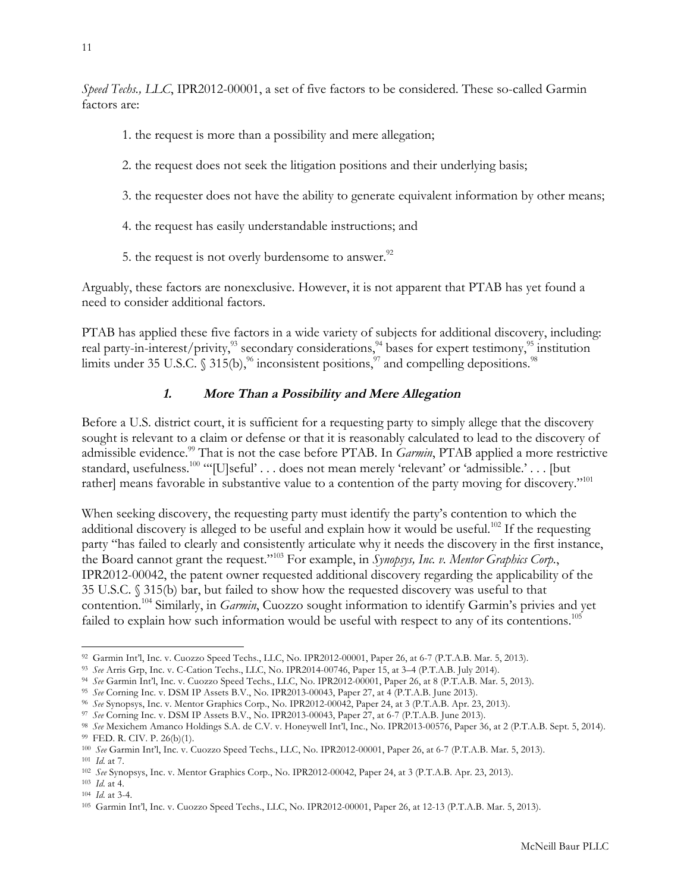<span id="page-10-0"></span>*Speed Techs., LLC*, IPR2012-00001, a set of five factors to be considered. These so-called Garmin factors are:

- 1. the request is more than a possibility and mere allegation;
- 2. the request does not seek the litigation positions and their underlying basis;
- 3. the requester does not have the ability to generate equivalent information by other means;
- 4. the request has easily understandable instructions; and
- 5. the request is not overly burdensome to answer.<sup>92</sup>

Arguably, these factors are nonexclusive. However, it is not apparent that PTAB has yet found a need to consider additional factors.

PTAB has applied these five factors in a wide variety of subjects for additional discovery, including: real party-in-interest/privity,<sup>93</sup> secondary considerations,<sup>94</sup> bases for expert testimony,<sup>95</sup> institution limits under 35 U.S.C.  $\frac{1}{3}$  315(b),  $\frac{96}{10}$  inconsistent positions,  $\frac{97}{7}$  and compelling depositions. <sup>98</sup>

## **1. More Than a Possibility and Mere Allegation**

Before a U.S. district court, it is sufficient for a requesting party to simply allege that the discovery sought is relevant to a claim or defense or that it is reasonably calculated to lead to the discovery of admissible evidence.<sup>99</sup> That is not the case before PTAB. In *Garmin*, PTAB applied a more restrictive standard, usefulness.<sup>100</sup> "'[U]seful' . . . does not mean merely 'relevant' or 'admissible.' . . . [but rather] means favorable in substantive value to a contention of the party moving for discovery."<sup>101</sup>

When seeking discovery, the requesting party must identify the party's contention to which the additional discovery is alleged to be useful and explain how it would be useful.<sup>102</sup> If the requesting party "has failed to clearly and consistently articulate why it needs the discovery in the first instance, the Board cannot grant the request."103 For example, in *Synopsys, Inc. v. Mentor Graphics Corp.*, IPR2012-00042, the patent owner requested additional discovery regarding the applicability of the 35 U.S.C. § 315(b) bar, but failed to show how the requested discovery was useful to that contention.104 Similarly, in *Garmin*, Cuozzo sought information to identify Garmin's privies and yet failed to explain how such information would be useful with respect to any of its contentions.<sup>105</sup>

l <sup>92</sup> Garmin Int'l, Inc. v. Cuozzo Speed Techs., LLC, No. IPR2012-00001, Paper 26, at 6-7 (P.T.A.B. Mar. 5, 2013).

<sup>93</sup> *See* Arris Grp, Inc. v. C-Cation Techs., LLC, No. IPR2014-00746, Paper 15, at 3–4 (P.T.A.B. July 2014).

<sup>94</sup> *See* Garmin Int'l, Inc. v. Cuozzo Speed Techs., LLC, No. IPR2012-00001, Paper 26, at 8 (P.T.A.B. Mar. 5, 2013).

<sup>95</sup> *See* Corning Inc. v. DSM IP Assets B.V., No. IPR2013-00043, Paper 27, at 4 (P.T.A.B. June 2013).

<sup>96</sup> *See* Synopsys, Inc. v. Mentor Graphics Corp., No. IPR2012-00042, Paper 24, at 3 (P.T.A.B. Apr. 23, 2013).

<sup>97</sup> *See* Corning Inc. v. DSM IP Assets B.V., No. IPR2013-00043, Paper 27, at 6-7 (P.T.A.B. June 2013).

<sup>98</sup> *See* Mexichem Amanco Holdings S.A. de C.V. v. Honeywell Int'l, Inc., No. IPR2013-00576, Paper 36, at 2 (P.T.A.B. Sept. 5, 2014). <sup>99</sup> FED. R. CIV. P. 26(b)(1).

<sup>100</sup> *See* Garmin Int'l, Inc. v. Cuozzo Speed Techs., LLC, No. IPR2012-00001, Paper 26, at 6-7 (P.T.A.B. Mar. 5, 2013). <sup>101</sup> *Id*. at 7.

<sup>102</sup> *See* Synopsys, Inc. v. Mentor Graphics Corp., No. IPR2012-00042, Paper 24, at 3 (P.T.A.B. Apr. 23, 2013).

<sup>103</sup> *Id*. at 4.

<sup>104</sup> *Id*. at 3-4.

<sup>105</sup> Garmin Int'l, Inc. v. Cuozzo Speed Techs., LLC, No. IPR2012-00001, Paper 26, at 12-13 (P.T.A.B. Mar. 5, 2013).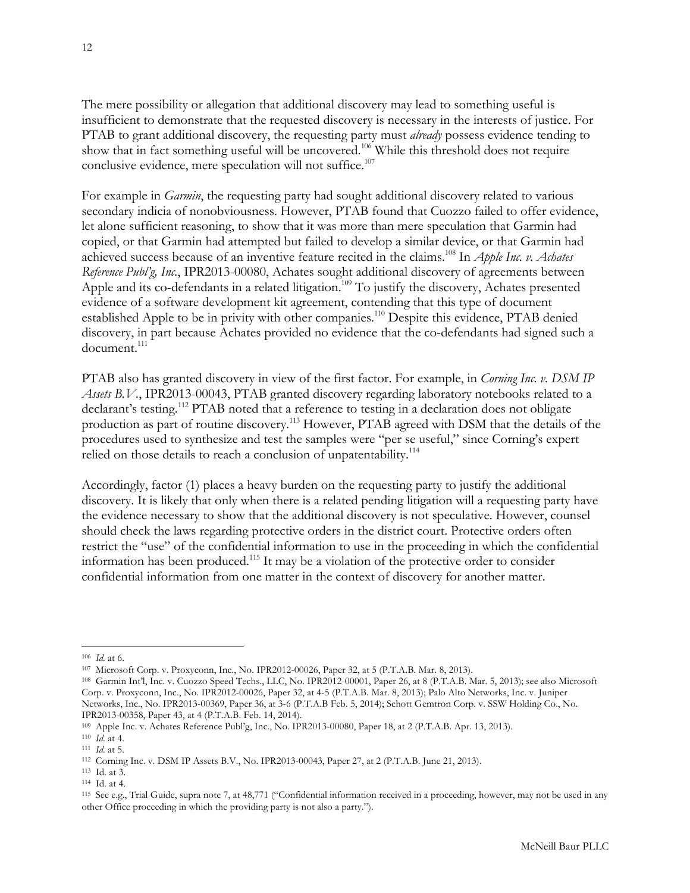The mere possibility or allegation that additional discovery may lead to something useful is insufficient to demonstrate that the requested discovery is necessary in the interests of justice. For PTAB to grant additional discovery, the requesting party must *already* possess evidence tending to show that in fact something useful will be uncovered.<sup>106</sup> While this threshold does not require conclusive evidence, mere speculation will not suffice.<sup>107</sup>

For example in *Garmin*, the requesting party had sought additional discovery related to various secondary indicia of nonobviousness. However, PTAB found that Cuozzo failed to offer evidence, let alone sufficient reasoning, to show that it was more than mere speculation that Garmin had copied, or that Garmin had attempted but failed to develop a similar device, or that Garmin had achieved success because of an inventive feature recited in the claims.108 In *Apple Inc. v. Achates Reference Publ'g, Inc.*, IPR2013-00080, Achates sought additional discovery of agreements between Apple and its co-defendants in a related litigation.<sup>109</sup> To justify the discovery, Achates presented evidence of a software development kit agreement, contending that this type of document established Apple to be in privity with other companies.<sup>110</sup> Despite this evidence, PTAB denied discovery, in part because Achates provided no evidence that the co-defendants had signed such a document.<sup>111</sup>

PTAB also has granted discovery in view of the first factor. For example, in *Corning Inc. v. DSM IP Assets B.V.*, IPR2013-00043, PTAB granted discovery regarding laboratory notebooks related to a declarant's testing.<sup>112</sup> PTAB noted that a reference to testing in a declaration does not obligate production as part of routine discovery.<sup>113</sup> However, PTAB agreed with DSM that the details of the procedures used to synthesize and test the samples were "per se useful," since Corning's expert relied on those details to reach a conclusion of unpatentability.<sup>114</sup>

Accordingly, factor (1) places a heavy burden on the requesting party to justify the additional discovery. It is likely that only when there is a related pending litigation will a requesting party have the evidence necessary to show that the additional discovery is not speculative. However, counsel should check the laws regarding protective orders in the district court. Protective orders often restrict the "use" of the confidential information to use in the proceeding in which the confidential information has been produced.115 It may be a violation of the protective order to consider confidential information from one matter in the context of discovery for another matter.

l

<sup>106</sup> *Id*. at 6.

<sup>107</sup> Microsoft Corp. v. Proxyconn, Inc., No. IPR2012-00026, Paper 32, at 5 (P.T.A.B. Mar. 8, 2013).

<sup>108</sup> Garmin Int'l, Inc. v. Cuozzo Speed Techs., LLC, No. IPR2012-00001, Paper 26, at 8 (P.T.A.B. Mar. 5, 2013); see also Microsoft Corp. v. Proxyconn, Inc., No. IPR2012-00026, Paper 32, at 4-5 (P.T.A.B. Mar. 8, 2013); Palo Alto Networks, Inc. v. Juniper Networks, Inc., No. IPR2013-00369, Paper 36, at 3-6 (P.T.A.B Feb. 5, 2014); Schott Gemtron Corp. v. SSW Holding Co., No. IPR2013-00358, Paper 43, at 4 (P.T.A.B. Feb. 14, 2014).

<sup>109</sup> Apple Inc. v. Achates Reference Publ'g, Inc., No. IPR2013-00080, Paper 18, at 2 (P.T.A.B. Apr. 13, 2013).

<sup>110</sup> *Id*. at 4.

<sup>111</sup> *Id*. at 5.

<sup>112</sup> Corning Inc. v. DSM IP Assets B.V., No. IPR2013-00043, Paper 27, at 2 (P.T.A.B. June 21, 2013).

<sup>113</sup> Id. at 3.

<sup>114</sup> Id. at 4.

<sup>115</sup> See e.g., Trial Guide, supra note 7, at 48,771 ("Confidential information received in a proceeding, however, may not be used in any other Office proceeding in which the providing party is not also a party.").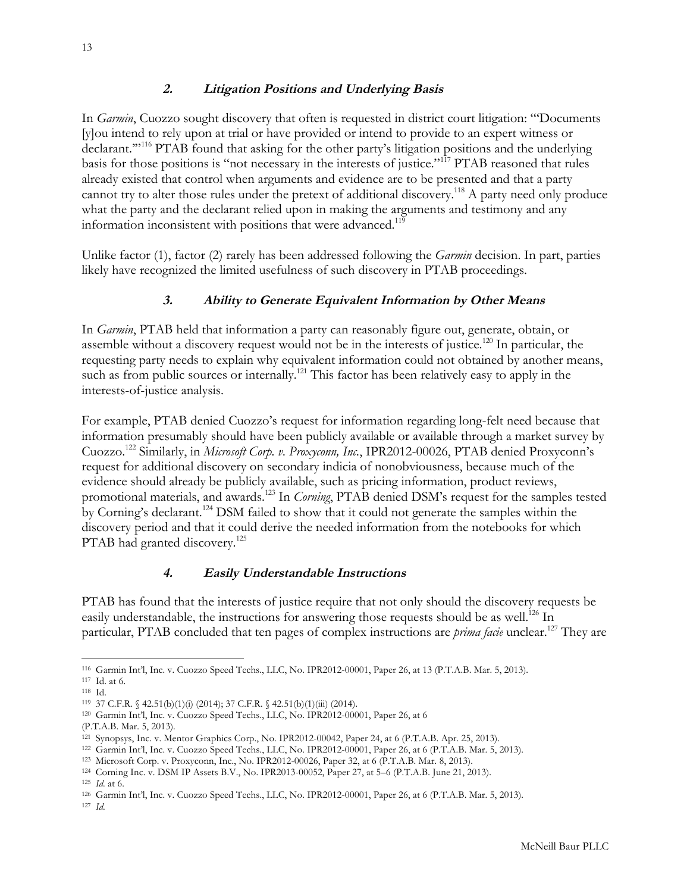#### **2. Litigation Positions and Underlying Basis**

<span id="page-12-0"></span>In *Garmin*, Cuozzo sought discovery that often is requested in district court litigation: "'Documents [y]ou intend to rely upon at trial or have provided or intend to provide to an expert witness or declarant."<sup>116</sup> PTAB found that asking for the other party's litigation positions and the underlying basis for those positions is "not necessary in the interests of justice."117 PTAB reasoned that rules already existed that control when arguments and evidence are to be presented and that a party cannot try to alter those rules under the pretext of additional discovery.<sup>118</sup> A party need only produce what the party and the declarant relied upon in making the arguments and testimony and any information inconsistent with positions that were advanced.<sup>119</sup>

Unlike factor (1), factor (2) rarely has been addressed following the *Garmin* decision. In part, parties likely have recognized the limited usefulness of such discovery in PTAB proceedings.

#### **3. Ability to Generate Equivalent Information by Other Means**

In *Garmin*, PTAB held that information a party can reasonably figure out, generate, obtain, or assemble without a discovery request would not be in the interests of justice.<sup>120</sup> In particular, the requesting party needs to explain why equivalent information could not obtained by another means, such as from public sources or internally.<sup>121</sup> This factor has been relatively easy to apply in the interests-of-justice analysis.

For example, PTAB denied Cuozzo's request for information regarding long-felt need because that information presumably should have been publicly available or available through a market survey by Cuozzo.122 Similarly, in *Microsoft Corp. v. Proxyconn, Inc.*, IPR2012-00026, PTAB denied Proxyconn's request for additional discovery on secondary indicia of nonobviousness, because much of the evidence should already be publicly available, such as pricing information, product reviews, promotional materials, and awards.123 In *Corning*, PTAB denied DSM's request for the samples tested by Corning's declarant.124 DSM failed to show that it could not generate the samples within the discovery period and that it could derive the needed information from the notebooks for which PTAB had granted discovery.<sup>125</sup>

#### **4. Easily Understandable Instructions**

PTAB has found that the interests of justice require that not only should the discovery requests be easily understandable, the instructions for answering those requests should be as well.<sup>126</sup> In particular, PTAB concluded that ten pages of complex instructions are *prima facie* unclear.<sup>127</sup> They are

 $\overline{a}$ <sup>116</sup> Garmin Int'l, Inc. v. Cuozzo Speed Techs., LLC, No. IPR2012-00001, Paper 26, at 13 (P.T.A.B. Mar. 5, 2013).

<sup>117</sup> Id. at 6.

<sup>118</sup> Id.

<sup>119</sup> 37 C.F.R. § 42.51(b)(1)(i) (2014); 37 C.F.R. § 42.51(b)(1)(iii) (2014).

<sup>120</sup> Garmin Int'l, Inc. v. Cuozzo Speed Techs., LLC, No. IPR2012-00001, Paper 26, at 6

<sup>(</sup>P.T.A.B. Mar. 5, 2013).

<sup>121</sup> Synopsys, Inc. v. Mentor Graphics Corp., No. IPR2012-00042, Paper 24, at 6 (P.T.A.B. Apr. 25, 2013).

<sup>122</sup> Garmin Int'l, Inc. v. Cuozzo Speed Techs., LLC, No. IPR2012-00001, Paper 26, at 6 (P.T.A.B. Mar. 5, 2013).

<sup>123</sup> Microsoft Corp. v. Proxyconn, Inc., No. IPR2012-00026, Paper 32, at 6 (P.T.A.B. Mar. 8, 2013).

<sup>124</sup> Corning Inc. v. DSM IP Assets B.V., No. IPR2013-00052, Paper 27, at 5–6 (P.T.A.B. June 21, 2013).

<sup>125</sup> *Id*. at 6.

<sup>126</sup> Garmin Int'l, Inc. v. Cuozzo Speed Techs., LLC, No. IPR2012-00001, Paper 26, at 6 (P.T.A.B. Mar. 5, 2013).

<sup>127</sup> *Id*.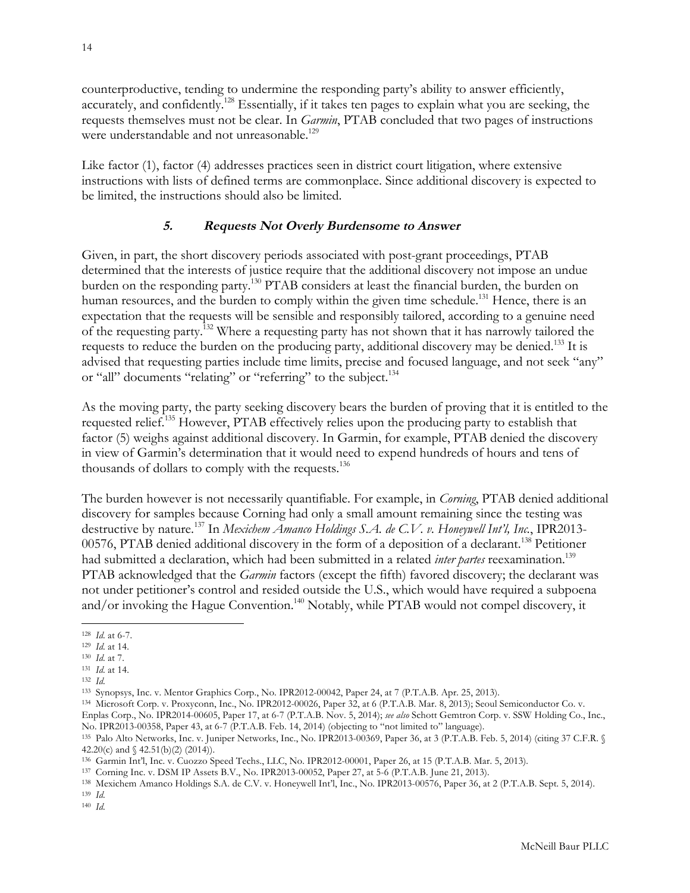<span id="page-13-0"></span>counterproductive, tending to undermine the responding party's ability to answer efficiently, accurately, and confidently.<sup>128</sup> Essentially, if it takes ten pages to explain what you are seeking, the requests themselves must not be clear. In *Garmin*, PTAB concluded that two pages of instructions were understandable and not unreasonable.<sup>129</sup>

Like factor (1), factor (4) addresses practices seen in district court litigation, where extensive instructions with lists of defined terms are commonplace. Since additional discovery is expected to be limited, the instructions should also be limited.

#### **5. Requests Not Overly Burdensome to Answer**

Given, in part, the short discovery periods associated with post-grant proceedings, PTAB determined that the interests of justice require that the additional discovery not impose an undue burden on the responding party.<sup>130</sup> PTAB considers at least the financial burden, the burden on human resources, and the burden to comply within the given time schedule.<sup>131</sup> Hence, there is an expectation that the requests will be sensible and responsibly tailored, according to a genuine need of the requesting party.132 Where a requesting party has not shown that it has narrowly tailored the requests to reduce the burden on the producing party, additional discovery may be denied.<sup>133</sup> It is advised that requesting parties include time limits, precise and focused language, and not seek "any" or "all" documents "relating" or "referring" to the subject.<sup>134</sup>

As the moving party, the party seeking discovery bears the burden of proving that it is entitled to the requested relief.135 However, PTAB effectively relies upon the producing party to establish that factor (5) weighs against additional discovery. In Garmin, for example, PTAB denied the discovery in view of Garmin's determination that it would need to expend hundreds of hours and tens of thousands of dollars to comply with the requests.<sup>136</sup>

The burden however is not necessarily quantifiable. For example, in *Corning*, PTAB denied additional discovery for samples because Corning had only a small amount remaining since the testing was destructive by nature.137 In *Mexichem Amanco Holdings S.A. de C.V. v. Honeywell Int'l, Inc.*, IPR2013- 00576, PTAB denied additional discovery in the form of a deposition of a declarant.<sup>138</sup> Petitioner had submitted a declaration, which had been submitted in a related *inter partes* reexamination.<sup>139</sup> PTAB acknowledged that the *Garmin* factors (except the fifth) favored discovery; the declarant was not under petitioner's control and resided outside the U.S., which would have required a subpoena and/or invoking the Hague Convention.<sup>140</sup> Notably, while PTAB would not compel discovery, it

 $\overline{a}$ 

<sup>139</sup> *Id*. <sup>140</sup> *Id*.

<sup>128</sup> *Id*. at 6-7.

<sup>129</sup> *Id*. at 14.

<sup>130</sup> *Id*. at 7.

<sup>131</sup> *Id*. at 14.

<sup>132</sup> *Id*.

<sup>133</sup> Synopsys, Inc. v. Mentor Graphics Corp., No. IPR2012-00042, Paper 24, at 7 (P.T.A.B. Apr. 25, 2013).

<sup>134</sup> Microsoft Corp. v. Proxyconn, Inc., No. IPR2012-00026, Paper 32, at 6 (P.T.A.B. Mar. 8, 2013); Seoul Semiconductor Co. v. Enplas Corp., No. IPR2014-00605, Paper 17, at 6-7 (P.T.A.B. Nov. 5, 2014); *see also* Schott Gemtron Corp. v. SSW Holding Co., Inc.,

No. IPR2013-00358, Paper 43, at 6-7 (P.T.A.B. Feb. 14, 2014) (objecting to "not limited to" language).

<sup>135</sup> Palo Alto Networks, Inc. v. Juniper Networks, Inc., No. IPR2013-00369, Paper 36, at 3 (P.T.A.B. Feb. 5, 2014) (citing 37 C.F.R. § 42.20(c) and § 42.51(b)(2) (2014)).

<sup>136</sup> Garmin Int'l, Inc. v. Cuozzo Speed Techs., LLC, No. IPR2012-00001, Paper 26, at 15 (P.T.A.B. Mar. 5, 2013).

<sup>137</sup> Corning Inc. v. DSM IP Assets B.V., No. IPR2013-00052, Paper 27, at 5-6 (P.T.A.B. June 21, 2013).

<sup>138</sup> Mexichem Amanco Holdings S.A. de C.V. v. Honeywell Int'l, Inc., No. IPR2013-00576, Paper 36, at 2 (P.T.A.B. Sept. 5, 2014).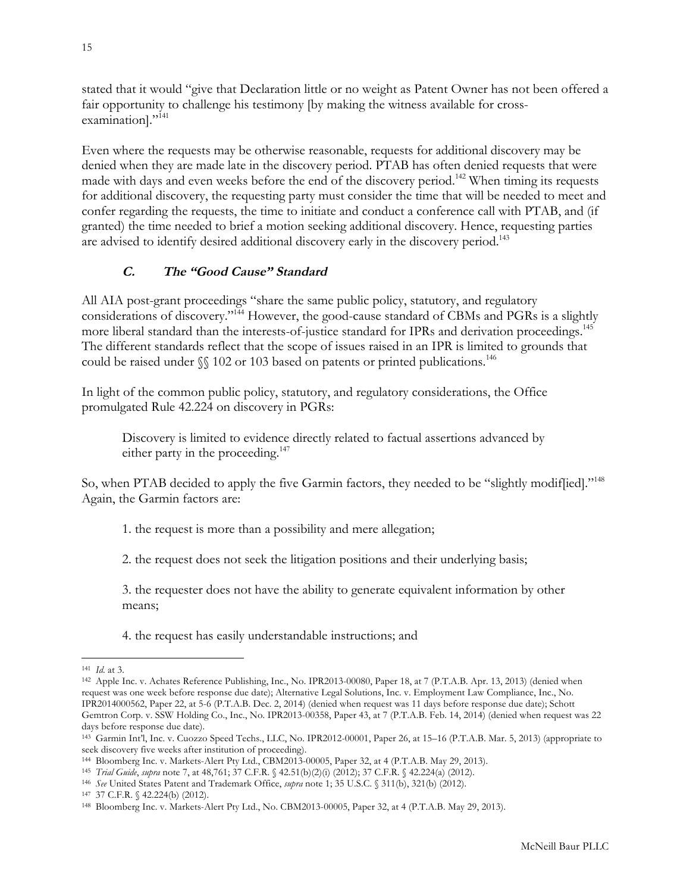<span id="page-14-0"></span>stated that it would "give that Declaration little or no weight as Patent Owner has not been offered a fair opportunity to challenge his testimony [by making the witness available for crossexamination]."<sup>141</sup>

Even where the requests may be otherwise reasonable, requests for additional discovery may be denied when they are made late in the discovery period. PTAB has often denied requests that were made with days and even weeks before the end of the discovery period.<sup>142</sup> When timing its requests for additional discovery, the requesting party must consider the time that will be needed to meet and confer regarding the requests, the time to initiate and conduct a conference call with PTAB, and (if granted) the time needed to brief a motion seeking additional discovery. Hence, requesting parties are advised to identify desired additional discovery early in the discovery period.<sup>143</sup>

# **C. The "Good Cause" Standard**

All AIA post-grant proceedings "share the same public policy, statutory, and regulatory considerations of discovery."144 However, the good-cause standard of CBMs and PGRs is a slightly more liberal standard than the interests-of-justice standard for IPRs and derivation proceedings.<sup>145</sup> The different standards reflect that the scope of issues raised in an IPR is limited to grounds that could be raised under  $\mathcal{N}$  102 or 103 based on patents or printed publications.<sup>146</sup>

In light of the common public policy, statutory, and regulatory considerations, the Office promulgated Rule 42.224 on discovery in PGRs:

Discovery is limited to evidence directly related to factual assertions advanced by either party in the proceeding.<sup>147</sup>

So, when PTAB decided to apply the five Garmin factors, they needed to be "slightly modiffied]."<sup>148</sup> Again, the Garmin factors are:

1. the request is more than a possibility and mere allegation;

2. the request does not seek the litigation positions and their underlying basis;

3. the requester does not have the ability to generate equivalent information by other means;

4. the request has easily understandable instructions; and

 $\overline{a}$ <sup>141</sup> *Id*. at 3.

<sup>142</sup> Apple Inc. v. Achates Reference Publishing, Inc., No. IPR2013-00080, Paper 18, at 7 (P.T.A.B. Apr. 13, 2013) (denied when request was one week before response due date); Alternative Legal Solutions, Inc. v. Employment Law Compliance, Inc., No. IPR2014000562, Paper 22, at 5-6 (P.T.A.B. Dec. 2, 2014) (denied when request was 11 days before response due date); Schott Gemtron Corp. v. SSW Holding Co., Inc., No. IPR2013-00358, Paper 43, at 7 (P.T.A.B. Feb. 14, 2014) (denied when request was 22 days before response due date).

<sup>143</sup> Garmin Int'l, Inc. v. Cuozzo Speed Techs., LLC, No. IPR2012-00001, Paper 26, at 15–16 (P.T.A.B. Mar. 5, 2013) (appropriate to seek discovery five weeks after institution of proceeding).

<sup>144</sup> Bloomberg Inc. v. Markets-Alert Pty Ltd., CBM2013-00005, Paper 32, at 4 (P.T.A.B. May 29, 2013).

<sup>145</sup> *Trial Guide*, *supra* note 7, at 48,761; 37 C.F.R. § 42.51(b)(2)(i) (2012); 37 C.F.R. § 42.224(a) (2012).

<sup>146</sup> *See* United States Patent and Trademark Office, *supra* note 1; 35 U.S.C. § 311(b), 321(b) (2012).

<sup>147</sup> 37 C.F.R. § 42.224(b) (2012).

<sup>148</sup> Bloomberg Inc. v. Markets-Alert Pty Ltd., No. CBM2013-00005, Paper 32, at 4 (P.T.A.B. May 29, 2013).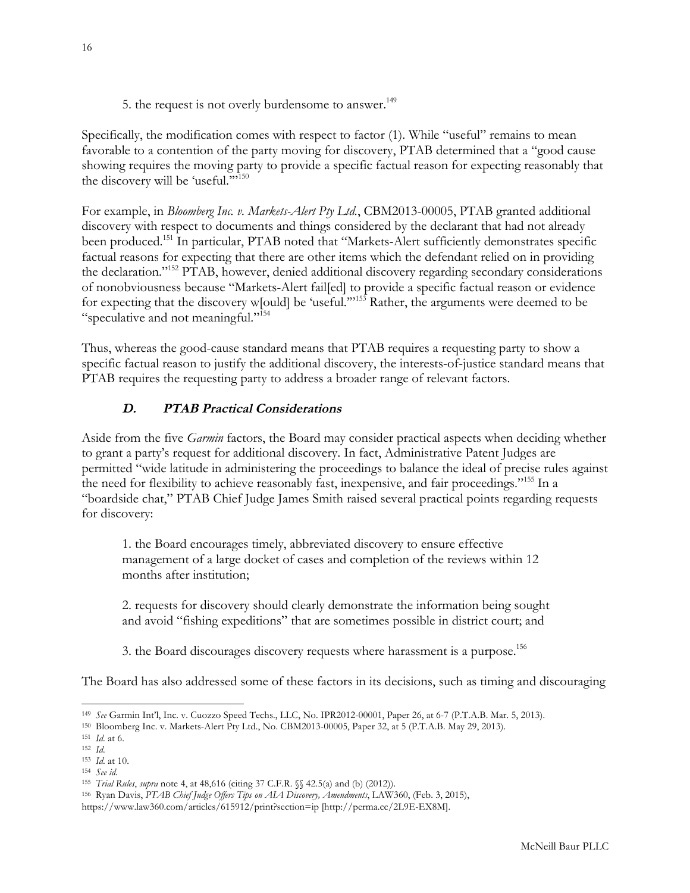5. the request is not overly burdensome to answer.<sup>149</sup>

<span id="page-15-0"></span>Specifically, the modification comes with respect to factor (1). While "useful" remains to mean favorable to a contention of the party moving for discovery, PTAB determined that a "good cause showing requires the moving party to provide a specific factual reason for expecting reasonably that the discovery will be 'useful."<sup>150</sup>

For example, in *Bloomberg Inc. v. Markets-Alert Pty Ltd.*, CBM2013-00005, PTAB granted additional discovery with respect to documents and things considered by the declarant that had not already been produced.<sup>151</sup> In particular, PTAB noted that "Markets-Alert sufficiently demonstrates specific factual reasons for expecting that there are other items which the defendant relied on in providing the declaration."<sup>152</sup> PTAB, however, denied additional discovery regarding secondary considerations of nonobviousness because "Markets-Alert fail[ed] to provide a specific factual reason or evidence for expecting that the discovery w[ould] be 'useful.'"153 Rather, the arguments were deemed to be "speculative and not meaningful."154

Thus, whereas the good-cause standard means that PTAB requires a requesting party to show a specific factual reason to justify the additional discovery, the interests-of-justice standard means that PTAB requires the requesting party to address a broader range of relevant factors.

## **D. PTAB Practical Considerations**

Aside from the five *Garmin* factors, the Board may consider practical aspects when deciding whether to grant a party's request for additional discovery. In fact, Administrative Patent Judges are permitted "wide latitude in administering the proceedings to balance the ideal of precise rules against the need for flexibility to achieve reasonably fast, inexpensive, and fair proceedings."<sup>155</sup> In a "boardside chat," PTAB Chief Judge James Smith raised several practical points regarding requests for discovery:

1. the Board encourages timely, abbreviated discovery to ensure effective management of a large docket of cases and completion of the reviews within 12 months after institution;

2. requests for discovery should clearly demonstrate the information being sought and avoid "fishing expeditions" that are sometimes possible in district court; and

3. the Board discourages discovery requests where harassment is a purpose.<sup>156</sup>

The Board has also addressed some of these factors in its decisions, such as timing and discouraging

l

<sup>149</sup> *See* Garmin Int'l, Inc. v. Cuozzo Speed Techs., LLC, No. IPR2012-00001, Paper 26, at 6-7 (P.T.A.B. Mar. 5, 2013).

<sup>150</sup> Bloomberg Inc. v. Markets-Alert Pty Ltd., No. CBM2013-00005, Paper 32, at 5 (P.T.A.B. May 29, 2013).

<sup>151</sup> *Id*. at 6.

<sup>152</sup> *Id*.

<sup>153</sup> *Id*. at 10.

<sup>154</sup> *See id*.

<sup>155</sup> *Trial Rules*, *supra* note 4, at 48,616 (citing 37 C.F.R. §§ 42.5(a) and (b) (2012)).

<sup>156</sup> Ryan Davis, *PTAB Chief Judge Offers Tips on AIA Discovery, Amendments*, LAW360, (Feb. 3, 2015),

https://www.law360.com/articles/615912/print?section=ip [http://perma.cc/2L9E-EX8M].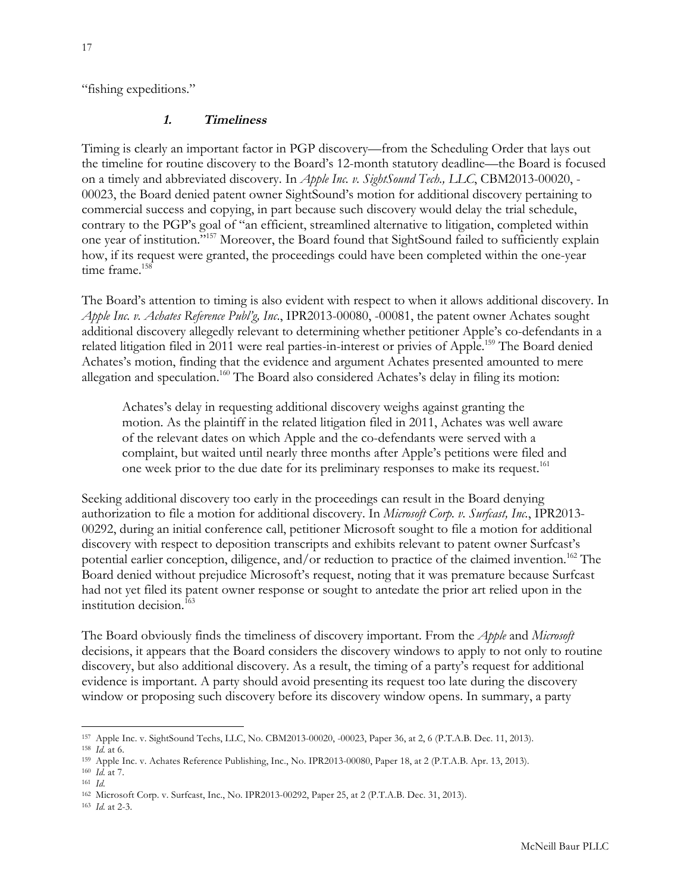<span id="page-16-0"></span>"fishing expeditions."

#### **1. Timeliness**

Timing is clearly an important factor in PGP discovery—from the Scheduling Order that lays out the timeline for routine discovery to the Board's 12-month statutory deadline—the Board is focused on a timely and abbreviated discovery. In *Apple Inc. v. SightSound Tech., LLC*, CBM2013-00020, - 00023, the Board denied patent owner SightSound's motion for additional discovery pertaining to commercial success and copying, in part because such discovery would delay the trial schedule, contrary to the PGP's goal of "an efficient, streamlined alternative to litigation, completed within one year of institution."157 Moreover, the Board found that SightSound failed to sufficiently explain how, if its request were granted, the proceedings could have been completed within the one-year time frame.<sup>158</sup>

The Board's attention to timing is also evident with respect to when it allows additional discovery. In *Apple Inc. v. Achates Reference Publ'g, Inc*., IPR2013-00080, -00081, the patent owner Achates sought additional discovery allegedly relevant to determining whether petitioner Apple's co-defendants in a related litigation filed in 2011 were real parties-in-interest or privies of Apple.<sup>159</sup> The Board denied Achates's motion, finding that the evidence and argument Achates presented amounted to mere allegation and speculation.<sup>160</sup> The Board also considered Achates's delay in filing its motion:

Achates's delay in requesting additional discovery weighs against granting the motion. As the plaintiff in the related litigation filed in 2011, Achates was well aware of the relevant dates on which Apple and the co-defendants were served with a complaint, but waited until nearly three months after Apple's petitions were filed and one week prior to the due date for its preliminary responses to make its request.<sup>161</sup>

Seeking additional discovery too early in the proceedings can result in the Board denying authorization to file a motion for additional discovery. In *Microsoft Corp. v. Surfcast, Inc.*, IPR2013- 00292, during an initial conference call, petitioner Microsoft sought to file a motion for additional discovery with respect to deposition transcripts and exhibits relevant to patent owner Surfcast's potential earlier conception, diligence, and/or reduction to practice of the claimed invention.<sup>162</sup> The Board denied without prejudice Microsoft's request, noting that it was premature because Surfcast had not yet filed its patent owner response or sought to antedate the prior art relied upon in the institution decision.<sup>163</sup>

The Board obviously finds the timeliness of discovery important. From the *Apple* and *Microsoft* decisions, it appears that the Board considers the discovery windows to apply to not only to routine discovery, but also additional discovery. As a result, the timing of a party's request for additional evidence is important. A party should avoid presenting its request too late during the discovery window or proposing such discovery before its discovery window opens. In summary, a party

 $\overline{a}$ <sup>157</sup> Apple Inc. v. SightSound Techs, LLC, No. CBM2013-00020, -00023, Paper 36, at 2, 6 (P.T.A.B. Dec. 11, 2013).

<sup>158</sup> *Id*. at 6.

<sup>159</sup> Apple Inc. v. Achates Reference Publishing, Inc., No. IPR2013-00080, Paper 18, at 2 (P.T.A.B. Apr. 13, 2013).

<sup>160</sup> *Id*. at 7.

<sup>161</sup> *Id*.

<sup>162</sup> Microsoft Corp. v. Surfcast, Inc., No. IPR2013-00292, Paper 25, at 2 (P.T.A.B. Dec. 31, 2013).

<sup>163</sup> *Id*. at 2-3.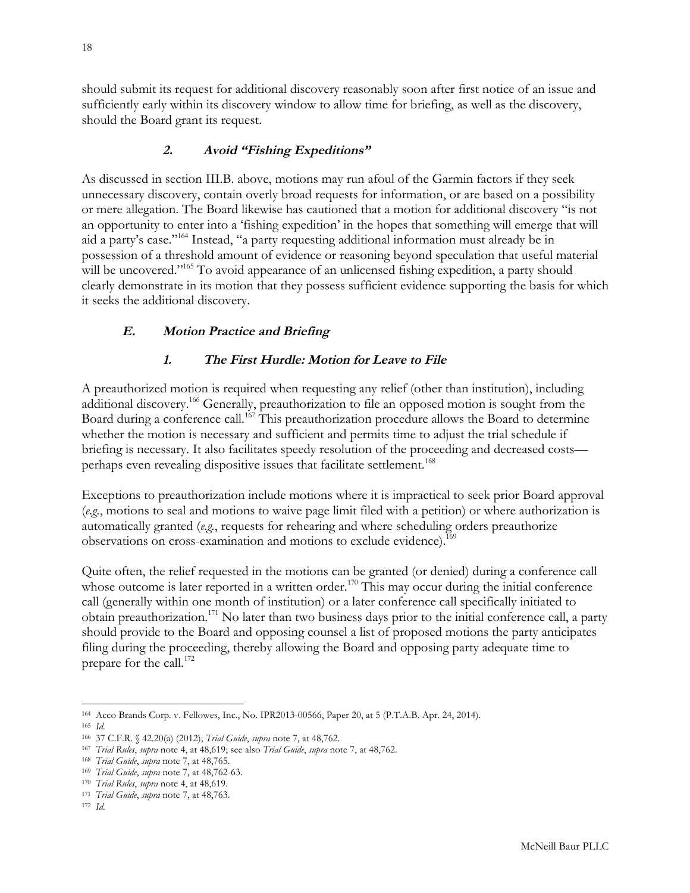<span id="page-17-0"></span>should submit its request for additional discovery reasonably soon after first notice of an issue and sufficiently early within its discovery window to allow time for briefing, as well as the discovery, should the Board grant its request.

## **2. Avoid "Fishing Expeditions"**

As discussed in section III.B. above, motions may run afoul of the Garmin factors if they seek unnecessary discovery, contain overly broad requests for information, or are based on a possibility or mere allegation. The Board likewise has cautioned that a motion for additional discovery "is not an opportunity to enter into a 'fishing expedition' in the hopes that something will emerge that will aid a party's case."164 Instead, "a party requesting additional information must already be in possession of a threshold amount of evidence or reasoning beyond speculation that useful material will be uncovered."<sup>165</sup> To avoid appearance of an unlicensed fishing expedition, a party should clearly demonstrate in its motion that they possess sufficient evidence supporting the basis for which it seeks the additional discovery.

## **E. Motion Practice and Briefing**

## **1. The First Hurdle: Motion for Leave to File**

A preauthorized motion is required when requesting any relief (other than institution), including additional discovery.166 Generally, preauthorization to file an opposed motion is sought from the Board during a conference call.<sup>167</sup> This preauthorization procedure allows the Board to determine whether the motion is necessary and sufficient and permits time to adjust the trial schedule if briefing is necessary. It also facilitates speedy resolution of the proceeding and decreased costs perhaps even revealing dispositive issues that facilitate settlement.<sup>168</sup>

Exceptions to preauthorization include motions where it is impractical to seek prior Board approval (*e.g.*, motions to seal and motions to waive page limit filed with a petition) or where authorization is automatically granted (*e.g.*, requests for rehearing and where scheduling orders preauthorize observations on cross-examination and motions to exclude evidence).<sup>169</sup>

Quite often, the relief requested in the motions can be granted (or denied) during a conference call whose outcome is later reported in a written order.<sup>170</sup> This may occur during the initial conference call (generally within one month of institution) or a later conference call specifically initiated to obtain preauthorization.<sup>171</sup> No later than two business days prior to the initial conference call, a party should provide to the Board and opposing counsel a list of proposed motions the party anticipates filing during the proceeding, thereby allowing the Board and opposing party adequate time to prepare for the call.<sup>172</sup>

l <sup>164</sup> Acco Brands Corp. v. Fellowes, Inc., No. IPR2013-00566, Paper 20, at 5 (P.T.A.B. Apr. 24, 2014). <sup>165</sup> *Id*.

<sup>166</sup> 37 C.F.R. § 42.20(a) (2012); *Trial Guide*, *supra* note 7, at 48,762.

<sup>167</sup> *Trial Rules*, *supra* note 4, at 48,619; see also *Trial Guide*, *supra* note 7, at 48,762.

<sup>168</sup> *Trial Guide*, *supra* note 7, at 48,765.

<sup>169</sup> *Trial Guide*, *supra* note 7, at 48,762-63.

<sup>170</sup> *Trial Rules*, *supra* note 4, at 48,619.

<sup>171</sup> *Trial Guide*, *supra* note 7, at 48,763.

<sup>172</sup> *Id*.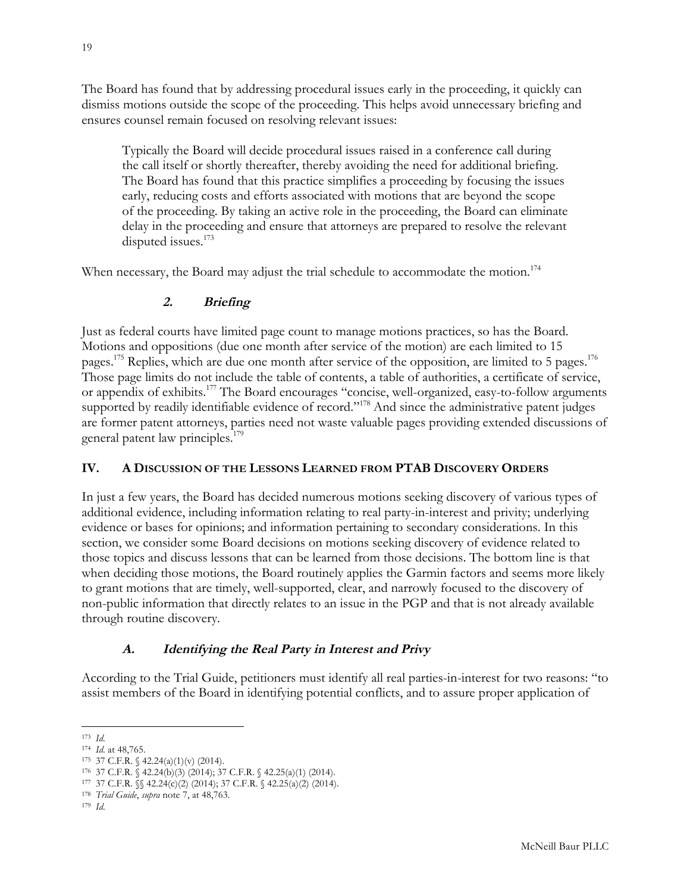<span id="page-18-0"></span>The Board has found that by addressing procedural issues early in the proceeding, it quickly can dismiss motions outside the scope of the proceeding. This helps avoid unnecessary briefing and ensures counsel remain focused on resolving relevant issues:

Typically the Board will decide procedural issues raised in a conference call during the call itself or shortly thereafter, thereby avoiding the need for additional briefing. The Board has found that this practice simplifies a proceeding by focusing the issues early, reducing costs and efforts associated with motions that are beyond the scope of the proceeding. By taking an active role in the proceeding, the Board can eliminate delay in the proceeding and ensure that attorneys are prepared to resolve the relevant disputed issues.<sup>173</sup>

When necessary, the Board may adjust the trial schedule to accommodate the motion.<sup>174</sup>

# **2. Briefing**

Just as federal courts have limited page count to manage motions practices, so has the Board. Motions and oppositions (due one month after service of the motion) are each limited to 15 pages.<sup>175</sup> Replies, which are due one month after service of the opposition, are limited to 5 pages.<sup>176</sup> Those page limits do not include the table of contents, a table of authorities, a certificate of service, or appendix of exhibits.177 The Board encourages "concise, well-organized, easy-to-follow arguments supported by readily identifiable evidence of record."<sup>178</sup> And since the administrative patent judges are former patent attorneys, parties need not waste valuable pages providing extended discussions of general patent law principles.<sup>179</sup>

# **IV. A DISCUSSION OF THE LESSONS LEARNED FROM PTAB DISCOVERY ORDERS**

In just a few years, the Board has decided numerous motions seeking discovery of various types of additional evidence, including information relating to real party-in-interest and privity; underlying evidence or bases for opinions; and information pertaining to secondary considerations. In this section, we consider some Board decisions on motions seeking discovery of evidence related to those topics and discuss lessons that can be learned from those decisions. The bottom line is that when deciding those motions, the Board routinely applies the Garmin factors and seems more likely to grant motions that are timely, well-supported, clear, and narrowly focused to the discovery of non-public information that directly relates to an issue in the PGP and that is not already available through routine discovery.

# **A. Identifying the Real Party in Interest and Privy**

According to the Trial Guide, petitioners must identify all real parties-in-interest for two reasons: "to assist members of the Board in identifying potential conflicts, and to assure proper application of

 $\overline{a}$ <sup>173</sup> *Id*.

<sup>174</sup> *Id*. at 48,765.

<sup>175</sup> 37 C.F.R. § 42.24(a)(1)(v) (2014).

<sup>176 37</sup> C.F.R.  $\check{S}$  42.24(b)(3) (2014); 37 C.F.R.  $\check{S}$  42.25(a)(1) (2014).

<sup>177 37</sup> C.F.R.  $\sqrt{\ }$  42.24(c)(2) (2014); 37 C.F.R.  $\sqrt{\ }$  42.25(a)(2) (2014).

<sup>178</sup> *Trial Guide*, *supra* note 7, at 48,763.

<sup>179</sup> *Id*.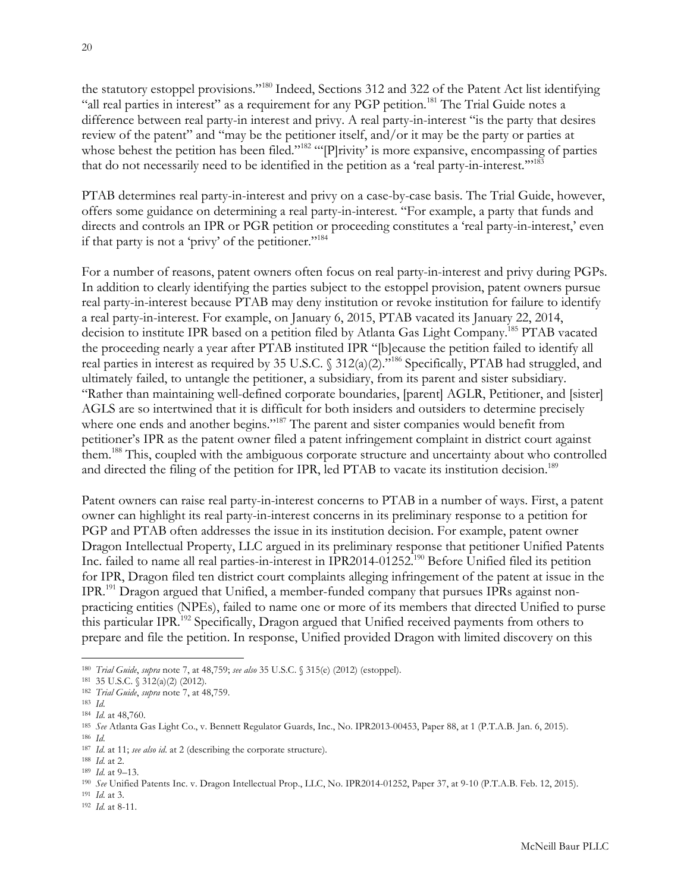the statutory estoppel provisions."<sup>180</sup> Indeed, Sections 312 and 322 of the Patent Act list identifying "all real parties in interest" as a requirement for any PGP petition.<sup>181</sup> The Trial Guide notes a difference between real party-in interest and privy. A real party-in-interest "is the party that desires review of the patent" and "may be the petitioner itself, and/or it may be the party or parties at whose behest the petition has been filed."<sup>182</sup> "'[P]rivity' is more expansive, encompassing of parties that do not necessarily need to be identified in the petition as a 'real party-in-interest.'"183

PTAB determines real party-in-interest and privy on a case-by-case basis. The Trial Guide, however, offers some guidance on determining a real party-in-interest. "For example, a party that funds and directs and controls an IPR or PGR petition or proceeding constitutes a 'real party-in-interest,' even if that party is not a 'privy' of the petitioner."184

For a number of reasons, patent owners often focus on real party-in-interest and privy during PGPs. In addition to clearly identifying the parties subject to the estoppel provision, patent owners pursue real party-in-interest because PTAB may deny institution or revoke institution for failure to identify a real party-in-interest. For example, on January 6, 2015, PTAB vacated its January 22, 2014, decision to institute IPR based on a petition filed by Atlanta Gas Light Company.185 PTAB vacated the proceeding nearly a year after PTAB instituted IPR "[b]ecause the petition failed to identify all real parties in interest as required by 35 U.S.C. § 312(a)(2).<sup>3186</sup> Specifically, PTAB had struggled, and ultimately failed, to untangle the petitioner, a subsidiary, from its parent and sister subsidiary. "Rather than maintaining well-defined corporate boundaries, [parent] AGLR, Petitioner, and [sister] AGLS are so intertwined that it is difficult for both insiders and outsiders to determine precisely where one ends and another begins."<sup>187</sup> The parent and sister companies would benefit from petitioner's IPR as the patent owner filed a patent infringement complaint in district court against them.188 This, coupled with the ambiguous corporate structure and uncertainty about who controlled and directed the filing of the petition for IPR, led PTAB to vacate its institution decision.<sup>189</sup>

Patent owners can raise real party-in-interest concerns to PTAB in a number of ways. First, a patent owner can highlight its real party-in-interest concerns in its preliminary response to a petition for PGP and PTAB often addresses the issue in its institution decision. For example, patent owner Dragon Intellectual Property, LLC argued in its preliminary response that petitioner Unified Patents Inc. failed to name all real parties-in-interest in IPR2014-01252.<sup>190</sup> Before Unified filed its petition for IPR, Dragon filed ten district court complaints alleging infringement of the patent at issue in the IPR.191 Dragon argued that Unified, a member-funded company that pursues IPRs against nonpracticing entities (NPEs), failed to name one or more of its members that directed Unified to purse this particular IPR.<sup>192</sup> Specifically, Dragon argued that Unified received payments from others to prepare and file the petition. In response, Unified provided Dragon with limited discovery on this

 $\overline{a}$ 

<sup>186</sup> *Id*.

<sup>188</sup> *Id*. at 2.

- <sup>191</sup> *Id*. at 3.
- <sup>192</sup> *Id*. at 8-11.

<sup>180</sup> *Trial Guide*, *supra* note 7, at 48,759; *see also* 35 U.S.C. § 315(e) (2012) (estoppel).

<sup>181</sup> 35 U.S.C. § 312(a)(2) (2012).

<sup>182</sup> *Trial Guide*, *supra* note 7, at 48,759.

<sup>183</sup> *Id*.

<sup>184</sup> *Id*. at 48,760.

<sup>185</sup> *See* Atlanta Gas Light Co., v. Bennett Regulator Guards, Inc., No. IPR2013-00453, Paper 88, at 1 (P.T.A.B. Jan. 6, 2015).

<sup>187</sup> *Id*. at 11; *see also id*. at 2 (describing the corporate structure).

<sup>189</sup> *Id*. at 9–13.

<sup>190</sup> *See* Unified Patents Inc. v. Dragon Intellectual Prop., LLC, No. IPR2014-01252, Paper 37, at 9-10 (P.T.A.B. Feb. 12, 2015).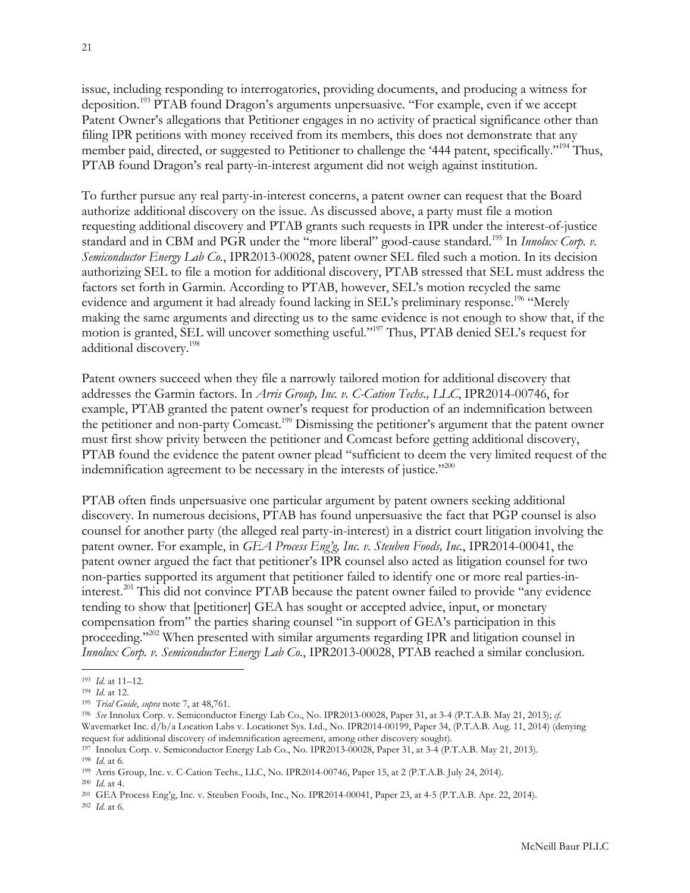issue, including responding to interrogatories, providing documents, and producing a witness for deposition.<sup>193</sup> PTAB found Dragon's arguments unpersuasive. "For example, even if we accept Patent Owner's allegations that Petitioner engages in no activity of practical significance other than filing IPR petitions with money received from its members, this does not demonstrate that any member paid, directed, or suggested to Petitioner to challenge the '444 patent, specifically."<sup>194</sup> Thus, PTAB found Dragon's real party-in-interest argument did not weigh against institution.

To further pursue any real party-in-interest concerns, a patent owner can request that the Board authorize additional discovery on the issue. As discussed above, a party must file a motion requesting additional discovery and PTAB grants such requests in IPR under the interest-of-justice standard and in CBM and PGR under the "more liberal" good-cause standard.195 In *Innolux Corp. v. Semiconductor Energy Lab Co.*, IPR2013-00028, patent owner SEL filed such a motion. In its decision authorizing SEL to file a motion for additional discovery, PTAB stressed that SEL must address the factors set forth in Garmin. According to PTAB, however, SEL's motion recycled the same evidence and argument it had already found lacking in SEL's preliminary response.<sup>196</sup> "Merely making the same arguments and directing us to the same evidence is not enough to show that, if the motion is granted, SEL will uncover something useful."197 Thus, PTAB denied SEL's request for additional discovery.198

Patent owners succeed when they file a narrowly tailored motion for additional discovery that addresses the Garmin factors. In *Arris Group, Inc. v. C-Cation Techs., LLC*, IPR2014-00746, for example, PTAB granted the patent owner's request for production of an indemnification between the petitioner and non-party Comcast.<sup>199</sup> Dismissing the petitioner's argument that the patent owner must first show privity between the petitioner and Comcast before getting additional discovery, PTAB found the evidence the patent owner plead "sufficient to deem the very limited request of the indemnification agreement to be necessary in the interests of justice."<sup>200</sup>

PTAB often finds unpersuasive one particular argument by patent owners seeking additional discovery. In numerous decisions, PTAB has found unpersuasive the fact that PGP counsel is also counsel for another party (the alleged real party-in-interest) in a district court litigation involving the patent owner. For example, in *GEA Process Eng'g, Inc. v. Steuben Foods, Inc.*, IPR2014-00041, the patent owner argued the fact that petitioner's IPR counsel also acted as litigation counsel for two non-parties supported its argument that petitioner failed to identify one or more real parties-ininterest.<sup>201</sup> This did not convince PTAB because the patent owner failed to provide "any evidence" tending to show that [petitioner] GEA has sought or accepted advice, input, or monetary compensation from" the parties sharing counsel "in support of GEA's participation in this proceeding."<sup>202</sup> When presented with similar arguments regarding IPR and litigation counsel in *Innolux Corp. v. Semiconductor Energy Lab Co.*, IPR2013-00028, PTAB reached a similar conclusion.

 $\overline{a}$ 

<sup>197</sup> Innolux Corp. v. Semiconductor Energy Lab Co., No. IPR2013-00028, Paper 31, at 3-4 (P.T.A.B. May 21, 2013). <sup>198</sup> *Id*. at 6.

<sup>199</sup> Arris Group, Inc. v. C-Cation Techs., LLC, No. IPR2014-00746, Paper 15, at 2 (P.T.A.B. July 24, 2014).

<sup>201</sup> GEA Process Eng'g, Inc. v. Steuben Foods, Inc., No. IPR2014-00041, Paper 23, at 4-5 (P.T.A.B. Apr. 22, 2014).

<sup>193</sup> *Id*. at 11–12.

<sup>194</sup> *Id*. at 12.

<sup>195</sup> *Trial Guide*, *supra* note 7, at 48,761.

<sup>196</sup> *See* Innolux Corp. v. Semiconductor Energy Lab Co., No. IPR2013-00028, Paper 31, at 3-4 (P.T.A.B. May 21, 2013); *cf*. Wavemarket Inc. d/b/a Location Labs v. Locationet Sys. Ltd., No. IPR2014-00199, Paper 34, (P.T.A.B. Aug. 11, 2014) (denying request for additional discovery of indemnification agreement, among other discovery sought).

<sup>200</sup> *Id*. at 4.

<sup>202</sup> *Id*. at 6.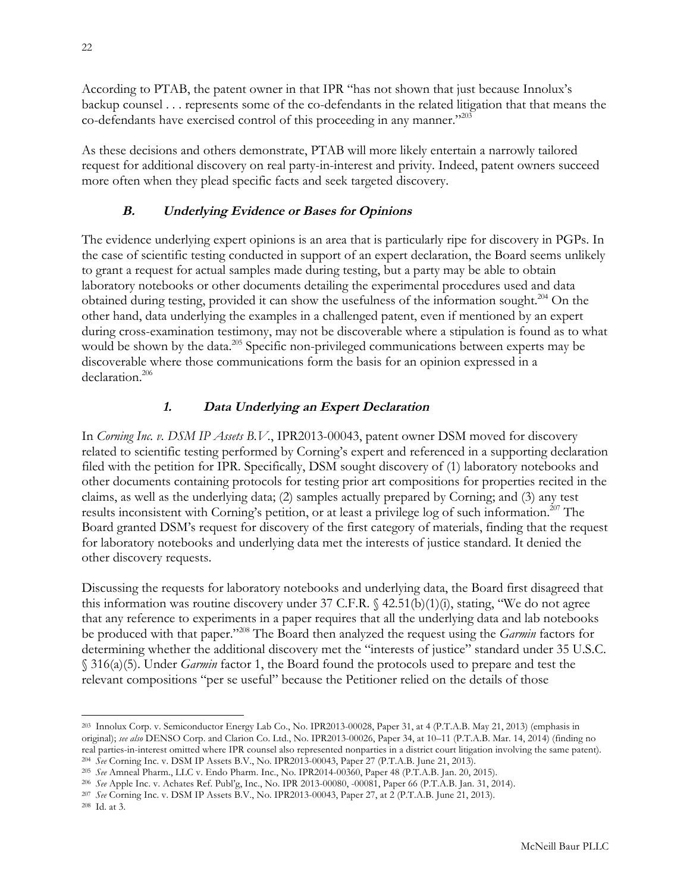<span id="page-21-0"></span>According to PTAB, the patent owner in that IPR "has not shown that just because Innolux's backup counsel . . . represents some of the co-defendants in the related litigation that that means the co-defendants have exercised control of this proceeding in any manner."203

As these decisions and others demonstrate, PTAB will more likely entertain a narrowly tailored request for additional discovery on real party-in-interest and privity. Indeed, patent owners succeed more often when they plead specific facts and seek targeted discovery.

# **B. Underlying Evidence or Bases for Opinions**

The evidence underlying expert opinions is an area that is particularly ripe for discovery in PGPs. In the case of scientific testing conducted in support of an expert declaration, the Board seems unlikely to grant a request for actual samples made during testing, but a party may be able to obtain laboratory notebooks or other documents detailing the experimental procedures used and data obtained during testing, provided it can show the usefulness of the information sought.<sup>204</sup> On the other hand, data underlying the examples in a challenged patent, even if mentioned by an expert during cross-examination testimony, may not be discoverable where a stipulation is found as to what would be shown by the data.<sup>205</sup> Specific non-privileged communications between experts may be discoverable where those communications form the basis for an opinion expressed in a declaration.206

# **1. Data Underlying an Expert Declaration**

In *Corning Inc. v. DSM IP Assets B.V.*, IPR2013-00043, patent owner DSM moved for discovery related to scientific testing performed by Corning's expert and referenced in a supporting declaration filed with the petition for IPR. Specifically, DSM sought discovery of (1) laboratory notebooks and other documents containing protocols for testing prior art compositions for properties recited in the claims, as well as the underlying data; (2) samples actually prepared by Corning; and (3) any test results inconsistent with Corning's petition, or at least a privilege log of such information.<sup>207</sup> The Board granted DSM's request for discovery of the first category of materials, finding that the request for laboratory notebooks and underlying data met the interests of justice standard. It denied the other discovery requests.

Discussing the requests for laboratory notebooks and underlying data, the Board first disagreed that this information was routine discovery under 37 C.F.R.  $\{(42.51(b)(1)(i), \text{statine}, \text{``We do not agree})\}$ that any reference to experiments in a paper requires that all the underlying data and lab notebooks be produced with that paper."208 The Board then analyzed the request using the *Garmin* factors for determining whether the additional discovery met the "interests of justice" standard under 35 U.S.C. § 316(a)(5). Under *Garmin* factor 1, the Board found the protocols used to prepare and test the relevant compositions "per se useful" because the Petitioner relied on the details of those

l <sup>203</sup> Innolux Corp. v. Semiconductor Energy Lab Co., No. IPR2013-00028, Paper 31, at 4 (P.T.A.B. May 21, 2013) (emphasis in original); *see also* DENSO Corp. and Clarion Co. Ltd., No. IPR2013-00026, Paper 34, at 10–11 (P.T.A.B. Mar. 14, 2014) (finding no real parties-in-interest omitted where IPR counsel also represented nonparties in a district court litigation involving the same patent). <sup>204</sup> *See* Corning Inc. v. DSM IP Assets B.V., No. IPR2013-00043, Paper 27 (P.T.A.B. June 21, 2013).

<sup>205</sup> *See* Amneal Pharm., LLC v. Endo Pharm. Inc., No. IPR2014-00360, Paper 48 (P.T.A.B. Jan. 20, 2015).

<sup>206</sup> *See* Apple Inc. v. Achates Ref. Publ'g, Inc., No. IPR 2013-00080, -00081, Paper 66 (P.T.A.B. Jan. 31, 2014).

<sup>207</sup> *See* Corning Inc. v. DSM IP Assets B.V., No. IPR2013-00043, Paper 27, at 2 (P.T.A.B. June 21, 2013).

<sup>208</sup> Id. at 3.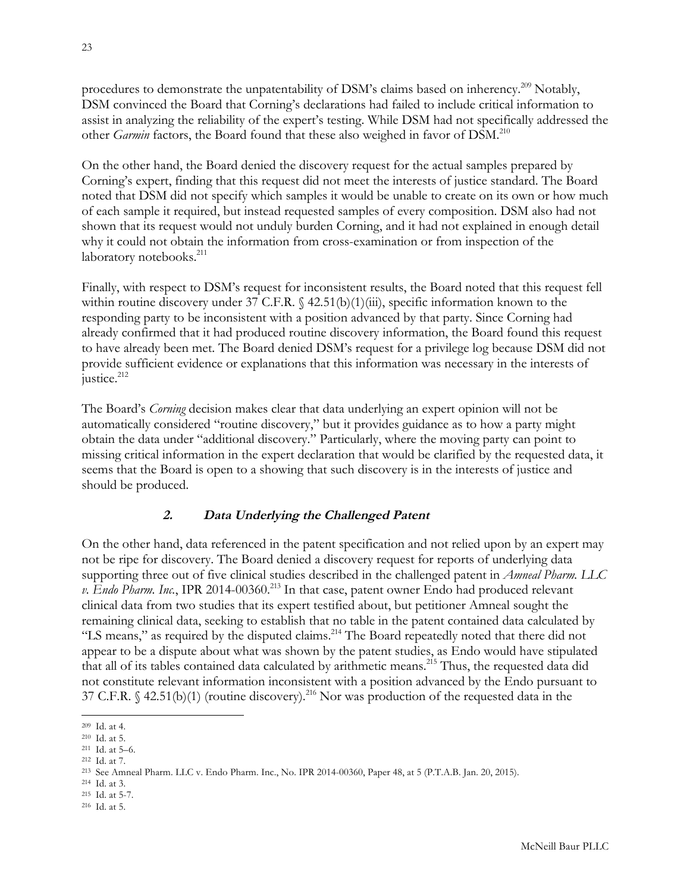<span id="page-22-0"></span>procedures to demonstrate the unpatentability of DSM's claims based on inherency.<sup>209</sup> Notably, DSM convinced the Board that Corning's declarations had failed to include critical information to assist in analyzing the reliability of the expert's testing. While DSM had not specifically addressed the other *Garmin* factors, the Board found that these also weighed in favor of DSM.<sup>210</sup>

On the other hand, the Board denied the discovery request for the actual samples prepared by Corning's expert, finding that this request did not meet the interests of justice standard. The Board noted that DSM did not specify which samples it would be unable to create on its own or how much of each sample it required, but instead requested samples of every composition. DSM also had not shown that its request would not unduly burden Corning, and it had not explained in enough detail why it could not obtain the information from cross-examination or from inspection of the laboratory notebooks.<sup>211</sup>

Finally, with respect to DSM's request for inconsistent results, the Board noted that this request fell within routine discovery under 37 C.F.R.  $\frac{42.51(b)(1)(iii)}{3}$ , specific information known to the responding party to be inconsistent with a position advanced by that party. Since Corning had already confirmed that it had produced routine discovery information, the Board found this request to have already been met. The Board denied DSM's request for a privilege log because DSM did not provide sufficient evidence or explanations that this information was necessary in the interests of justice.<sup>212</sup>

The Board's *Corning* decision makes clear that data underlying an expert opinion will not be automatically considered "routine discovery," but it provides guidance as to how a party might obtain the data under "additional discovery." Particularly, where the moving party can point to missing critical information in the expert declaration that would be clarified by the requested data, it seems that the Board is open to a showing that such discovery is in the interests of justice and should be produced.

# **2. Data Underlying the Challenged Patent**

On the other hand, data referenced in the patent specification and not relied upon by an expert may not be ripe for discovery. The Board denied a discovery request for reports of underlying data supporting three out of five clinical studies described in the challenged patent in *Amneal Pharm. LLC v. Endo Pharm. Inc.*, IPR 2014-00360.<sup>213</sup> In that case, patent owner Endo had produced relevant clinical data from two studies that its expert testified about, but petitioner Amneal sought the remaining clinical data, seeking to establish that no table in the patent contained data calculated by "LS means," as required by the disputed claims.<sup>214</sup> The Board repeatedly noted that there did not appear to be a dispute about what was shown by the patent studies, as Endo would have stipulated that all of its tables contained data calculated by arithmetic means.215 Thus, the requested data did not constitute relevant information inconsistent with a position advanced by the Endo pursuant to 37 C.F.R.  $\frac{42.51(b)}{1}$  (routine discovery).<sup>216</sup> Nor was production of the requested data in the

l

<sup>209</sup> Id. at 4.

<sup>210</sup> Id. at 5.

<sup>211</sup> Id. at 5–6.

<sup>212</sup> Id. at 7.

<sup>213</sup> See Amneal Pharm. LLC v. Endo Pharm. Inc., No. IPR 2014-00360, Paper 48, at 5 (P.T.A.B. Jan. 20, 2015).

<sup>214</sup> Id. at 3.

<sup>215</sup> Id. at 5-7.

<sup>216</sup> Id. at 5.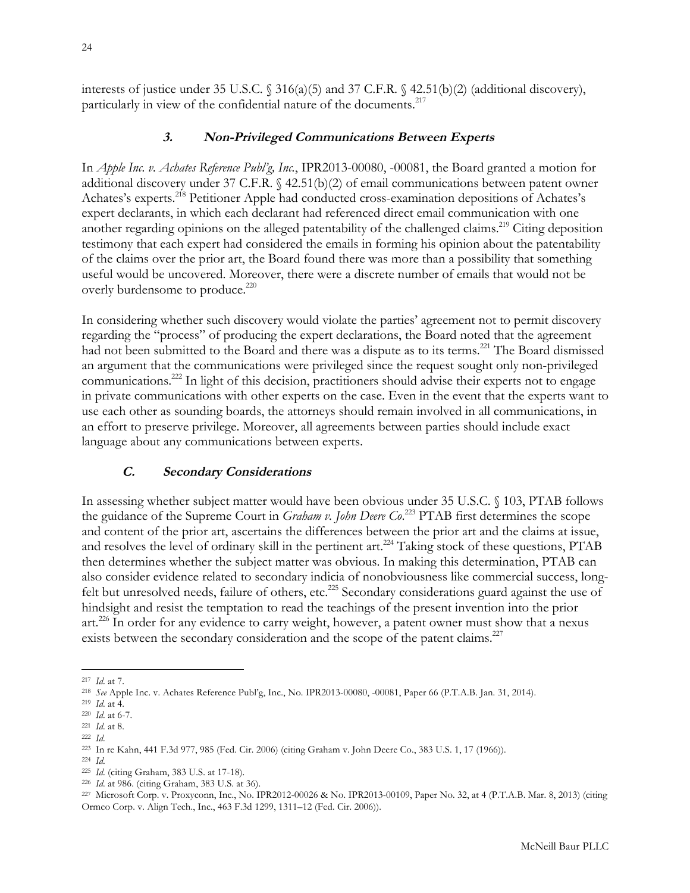<span id="page-23-0"></span>interests of justice under 35 U.S.C.  $\frac{316(a)(5)}{5}$  and 37 C.F.R.  $\frac{42.51(b)(2)}{4d}\$  (additional discovery), particularly in view of the confidential nature of the documents.<sup>217</sup>

#### **3. Non-Privileged Communications Between Experts**

In *Apple Inc. v. Achates Reference Publ'g, Inc.*, IPR2013-00080, -00081, the Board granted a motion for additional discovery under 37 C.F.R. § 42.51(b)(2) of email communications between patent owner Achates's experts.<sup>218</sup> Petitioner Apple had conducted cross-examination depositions of Achates's expert declarants, in which each declarant had referenced direct email communication with one another regarding opinions on the alleged patentability of the challenged claims.<sup>219</sup> Citing deposition testimony that each expert had considered the emails in forming his opinion about the patentability of the claims over the prior art, the Board found there was more than a possibility that something useful would be uncovered. Moreover, there were a discrete number of emails that would not be overly burdensome to produce.<sup>220</sup>

In considering whether such discovery would violate the parties' agreement not to permit discovery regarding the "process" of producing the expert declarations, the Board noted that the agreement had not been submitted to the Board and there was a dispute as to its terms.<sup>221</sup> The Board dismissed an argument that the communications were privileged since the request sought only non-privileged communications.222 In light of this decision, practitioners should advise their experts not to engage in private communications with other experts on the case. Even in the event that the experts want to use each other as sounding boards, the attorneys should remain involved in all communications, in an effort to preserve privilege. Moreover, all agreements between parties should include exact language about any communications between experts.

#### **C. Secondary Considerations**

In assessing whether subject matter would have been obvious under 35 U.S.C. § 103, PTAB follows the guidance of the Supreme Court in *Graham v. John Deere Co*. <sup>223</sup> PTAB first determines the scope and content of the prior art, ascertains the differences between the prior art and the claims at issue, and resolves the level of ordinary skill in the pertinent art.<sup>224</sup> Taking stock of these questions, PTAB then determines whether the subject matter was obvious. In making this determination, PTAB can also consider evidence related to secondary indicia of nonobviousness like commercial success, longfelt but unresolved needs, failure of others, etc.<sup>225</sup> Secondary considerations guard against the use of hindsight and resist the temptation to read the teachings of the present invention into the prior art.226 In order for any evidence to carry weight, however, a patent owner must show that a nexus exists between the secondary consideration and the scope of the patent claims.<sup>227</sup>

 $\overline{a}$ <sup>217</sup> *Id*. at 7.

<sup>218</sup> *See* Apple Inc. v. Achates Reference Publ'g, Inc., No. IPR2013-00080, -00081, Paper 66 (P.T.A.B. Jan. 31, 2014). 219 *Id*. at 4.

<sup>220</sup> *Id*. at 6-7.

<sup>221</sup> *Id*. at 8.

<sup>222</sup> *Id*.

<sup>223</sup> In re Kahn, 441 F.3d 977, 985 (Fed. Cir. 2006) (citing Graham v. John Deere Co., 383 U.S. 1, 17 (1966)).

<sup>224</sup> *Id*.

<sup>225</sup> *Id*. (citing Graham, 383 U.S. at 17-18).

<sup>226</sup> *Id*. at 986. (citing Graham, 383 U.S. at 36).

<sup>227</sup> Microsoft Corp. v. Proxyconn, Inc., No. IPR2012-00026 & No. IPR2013-00109, Paper No. 32, at 4 (P.T.A.B. Mar. 8, 2013) (citing Ormco Corp. v. Align Tech., Inc., 463 F.3d 1299, 1311–12 (Fed. Cir. 2006)).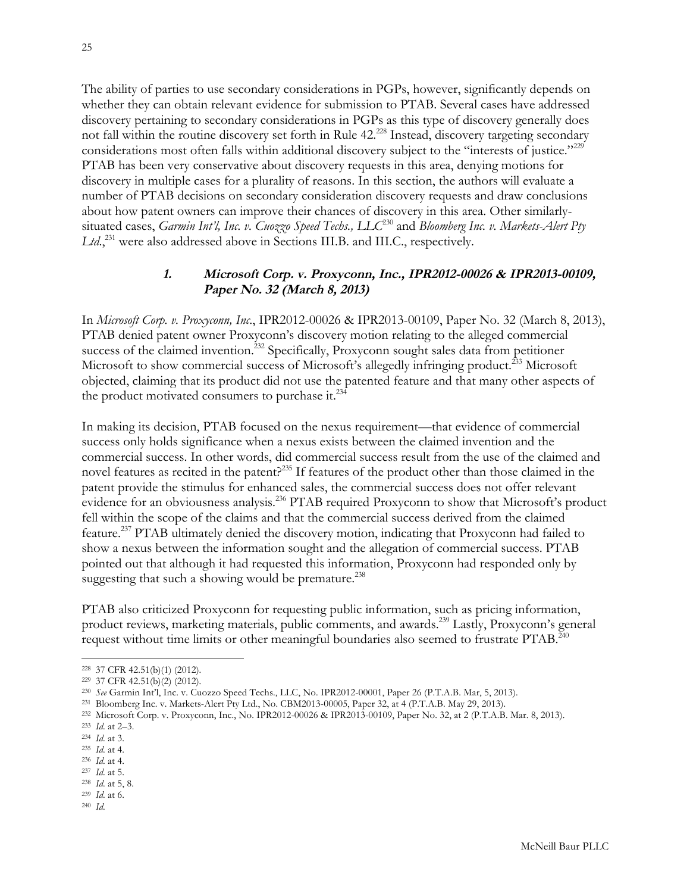<span id="page-24-0"></span>The ability of parties to use secondary considerations in PGPs, however, significantly depends on whether they can obtain relevant evidence for submission to PTAB. Several cases have addressed discovery pertaining to secondary considerations in PGPs as this type of discovery generally does not fall within the routine discovery set forth in Rule 42.228 Instead, discovery targeting secondary considerations most often falls within additional discovery subject to the "interests of justice."<sup>229</sup> PTAB has been very conservative about discovery requests in this area, denying motions for discovery in multiple cases for a plurality of reasons. In this section, the authors will evaluate a number of PTAB decisions on secondary consideration discovery requests and draw conclusions about how patent owners can improve their chances of discovery in this area. Other similarlysituated cases, *Garmin Int'l, Inc. v. Cuozzo Speed Techs., LLC*<sup>230</sup> and *Bloomberg Inc. v. Markets-Alert Pty*  Ltd.,<sup>231</sup> were also addressed above in Sections III.B. and III.C., respectively.

#### **1. Microsoft Corp. v. Proxyconn, Inc., IPR2012-00026 & IPR2013-00109, Paper No. 32 (March 8, 2013)**

In *Microsoft Corp. v. Proxyconn, Inc*., IPR2012-00026 & IPR2013-00109, Paper No. 32 (March 8, 2013), PTAB denied patent owner Proxyconn's discovery motion relating to the alleged commercial success of the claimed invention.<sup>232</sup> Specifically, Proxyconn sought sales data from petitioner Microsoft to show commercial success of Microsoft's allegedly infringing product.<sup>233</sup> Microsoft objected, claiming that its product did not use the patented feature and that many other aspects of the product motivated consumers to purchase it.<sup>234</sup>

In making its decision, PTAB focused on the nexus requirement—that evidence of commercial success only holds significance when a nexus exists between the claimed invention and the commercial success. In other words, did commercial success result from the use of the claimed and novel features as recited in the patent?<sup>235</sup> If features of the product other than those claimed in the patent provide the stimulus for enhanced sales, the commercial success does not offer relevant evidence for an obviousness analysis.<sup>236</sup> PTAB required Proxyconn to show that Microsoft's product fell within the scope of the claims and that the commercial success derived from the claimed feature.237 PTAB ultimately denied the discovery motion, indicating that Proxyconn had failed to show a nexus between the information sought and the allegation of commercial success. PTAB pointed out that although it had requested this information, Proxyconn had responded only by suggesting that such a showing would be premature.<sup>238</sup>

PTAB also criticized Proxyconn for requesting public information, such as pricing information, product reviews, marketing materials, public comments, and awards.239 Lastly, Proxyconn's general request without time limits or other meaningful boundaries also seemed to frustrate PTAB.<sup>240</sup>

 $\overline{a}$ 

<sup>236</sup> *Id*. at 4.

<sup>239</sup> *Id*. at 6.

<sup>228</sup> 37 CFR 42.51(b)(1) (2012).

<sup>229</sup> 37 CFR 42.51(b)(2) (2012).

<sup>230</sup> *See* Garmin Int'l, Inc. v. Cuozzo Speed Techs., LLC, No. IPR2012-00001, Paper 26 (P.T.A.B. Mar, 5, 2013).

<sup>231</sup> Bloomberg Inc. v. Markets-Alert Pty Ltd., No. CBM2013-00005, Paper 32, at 4 (P.T.A.B. May 29, 2013).

<sup>232</sup> Microsoft Corp. v. Proxyconn, Inc., No. IPR2012-00026 & IPR2013-00109, Paper No. 32, at 2 (P.T.A.B. Mar. 8, 2013).

<sup>233</sup> *Id*. at 2–3.

<sup>234</sup> *Id*. at 3.

<sup>235</sup> *Id*. at 4.

<sup>237</sup> *Id*. at 5. <sup>238</sup> *Id*. at 5, 8.

<sup>240</sup> *Id*.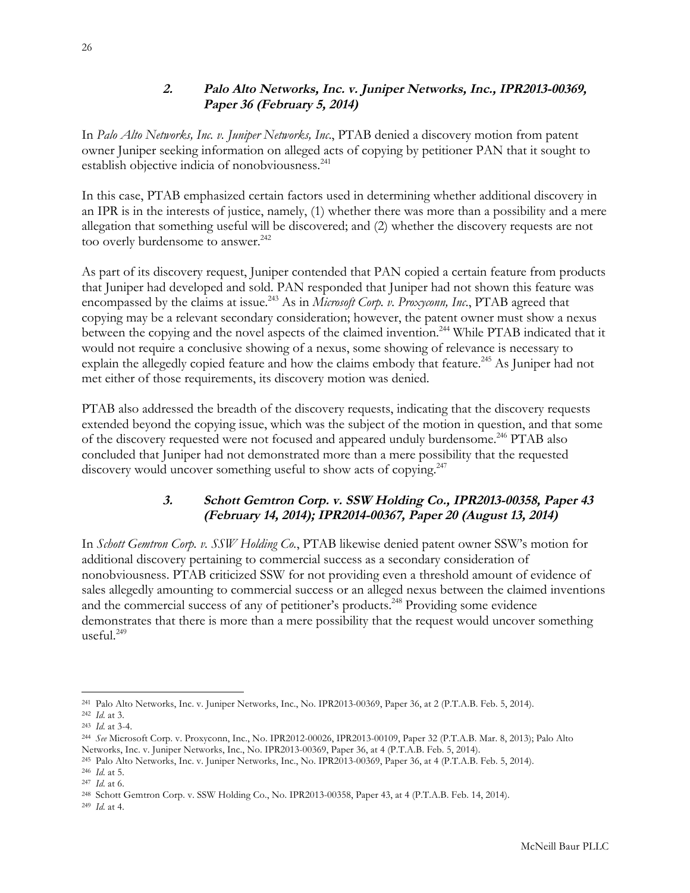## **2. Palo Alto Networks, Inc. v. Juniper Networks, Inc., IPR2013-00369, Paper 36 (February 5, 2014)**

<span id="page-25-0"></span>In *Palo Alto Networks, Inc. v. Juniper Networks, Inc*., PTAB denied a discovery motion from patent owner Juniper seeking information on alleged acts of copying by petitioner PAN that it sought to establish objective indicia of nonobviousness.<sup>241</sup>

In this case, PTAB emphasized certain factors used in determining whether additional discovery in an IPR is in the interests of justice, namely, (1) whether there was more than a possibility and a mere allegation that something useful will be discovered; and (2) whether the discovery requests are not too overly burdensome to answer.<sup>242</sup>

As part of its discovery request, Juniper contended that PAN copied a certain feature from products that Juniper had developed and sold. PAN responded that Juniper had not shown this feature was encompassed by the claims at issue.<sup>243</sup> As in *Microsoft Corp. v. Proxyconn, Inc.*, PTAB agreed that copying may be a relevant secondary consideration; however, the patent owner must show a nexus between the copying and the novel aspects of the claimed invention.<sup>244</sup> While PTAB indicated that it would not require a conclusive showing of a nexus, some showing of relevance is necessary to explain the allegedly copied feature and how the claims embody that feature.<sup>245</sup> As Juniper had not met either of those requirements, its discovery motion was denied.

PTAB also addressed the breadth of the discovery requests, indicating that the discovery requests extended beyond the copying issue, which was the subject of the motion in question, and that some of the discovery requested were not focused and appeared unduly burdensome.246 PTAB also concluded that Juniper had not demonstrated more than a mere possibility that the requested discovery would uncover something useful to show acts of copying.<sup>247</sup>

# **3. Schott Gemtron Corp. v. SSW Holding Co., IPR2013-00358, Paper 43 (February 14, 2014); IPR2014-00367, Paper 20 (August 13, 2014)**

In *Schott Gemtron Corp. v. SSW Holding Co.*, PTAB likewise denied patent owner SSW's motion for additional discovery pertaining to commercial success as a secondary consideration of nonobviousness. PTAB criticized SSW for not providing even a threshold amount of evidence of sales allegedly amounting to commercial success or an alleged nexus between the claimed inventions and the commercial success of any of petitioner's products.<sup>248</sup> Providing some evidence demonstrates that there is more than a mere possibility that the request would uncover something useful  $^{249}$ 

l

<sup>241</sup> Palo Alto Networks, Inc. v. Juniper Networks, Inc., No. IPR2013-00369, Paper 36, at 2 (P.T.A.B. Feb. 5, 2014). <sup>242</sup> *Id*. at 3.

<sup>243</sup> *Id*. at 3-4.

<sup>244</sup> *See* Microsoft Corp. v. Proxyconn, Inc., No. IPR2012-00026, IPR2013-00109, Paper 32 (P.T.A.B. Mar. 8, 2013); Palo Alto Networks, Inc. v. Juniper Networks, Inc., No. IPR2013-00369, Paper 36, at 4 (P.T.A.B. Feb. 5, 2014).

<sup>245</sup> Palo Alto Networks, Inc. v. Juniper Networks, Inc., No. IPR2013-00369, Paper 36, at 4 (P.T.A.B. Feb. 5, 2014).

<sup>246</sup> *Id*. at 5.

<sup>247</sup> *Id*. at 6.

<sup>248</sup> Schott Gemtron Corp. v. SSW Holding Co., No. IPR2013-00358, Paper 43, at 4 (P.T.A.B. Feb. 14, 2014).

<sup>249</sup> *Id*. at 4.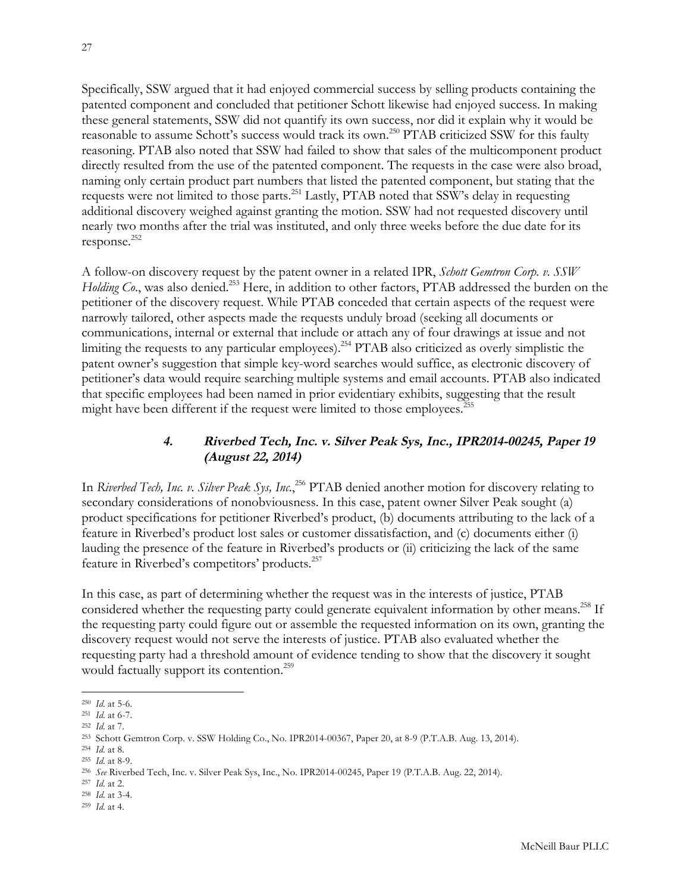<span id="page-26-0"></span>Specifically, SSW argued that it had enjoyed commercial success by selling products containing the patented component and concluded that petitioner Schott likewise had enjoyed success. In making these general statements, SSW did not quantify its own success, nor did it explain why it would be reasonable to assume Schott's success would track its own.250 PTAB criticized SSW for this faulty reasoning. PTAB also noted that SSW had failed to show that sales of the multicomponent product directly resulted from the use of the patented component. The requests in the case were also broad, naming only certain product part numbers that listed the patented component, but stating that the requests were not limited to those parts.251 Lastly, PTAB noted that SSW's delay in requesting additional discovery weighed against granting the motion. SSW had not requested discovery until nearly two months after the trial was instituted, and only three weeks before the due date for its response.252

A follow-on discovery request by the patent owner in a related IPR, *Schott Gemtron Corp. v. SSW Holding Co.*, was also denied.<sup>253</sup> Here, in addition to other factors, PTAB addressed the burden on the petitioner of the discovery request. While PTAB conceded that certain aspects of the request were narrowly tailored, other aspects made the requests unduly broad (seeking all documents or communications, internal or external that include or attach any of four drawings at issue and not limiting the requests to any particular employees).<sup>254</sup> PTAB also criticized as overly simplistic the patent owner's suggestion that simple key-word searches would suffice, as electronic discovery of petitioner's data would require searching multiple systems and email accounts. PTAB also indicated that specific employees had been named in prior evidentiary exhibits, suggesting that the result might have been different if the request were limited to those employees.<sup>255</sup>

#### **4. Riverbed Tech, Inc. v. Silver Peak Sys, Inc., IPR2014-00245, Paper 19 (August 22, 2014)**

In *Riverbed Tech, Inc. v. Silver Peak Sys, Inc.*<sup>256</sup> PTAB denied another motion for discovery relating to secondary considerations of nonobviousness. In this case, patent owner Silver Peak sought (a) product specifications for petitioner Riverbed's product, (b) documents attributing to the lack of a feature in Riverbed's product lost sales or customer dissatisfaction, and (c) documents either (i) lauding the presence of the feature in Riverbed's products or (ii) criticizing the lack of the same feature in Riverbed's competitors' products.257

In this case, as part of determining whether the request was in the interests of justice, PTAB considered whether the requesting party could generate equivalent information by other means.<sup>258</sup> If the requesting party could figure out or assemble the requested information on its own, granting the discovery request would not serve the interests of justice. PTAB also evaluated whether the requesting party had a threshold amount of evidence tending to show that the discovery it sought would factually support its contention.<sup>259</sup>

l

- <sup>257</sup> *Id*. at 2.
- <sup>258</sup> *Id*. at 3-4.
- <sup>259</sup> *Id*. at 4.

<sup>250</sup> *Id*. at 5-6.

<sup>251</sup> *Id*. at 6-7.

<sup>252</sup> *Id*. at 7.

<sup>253</sup> Schott Gemtron Corp. v. SSW Holding Co., No. IPR2014-00367, Paper 20, at 8-9 (P.T.A.B. Aug. 13, 2014).

<sup>254</sup> *Id*. at 8.

<sup>255</sup> *Id*. at 8-9.

<sup>256</sup> *See* Riverbed Tech, Inc. v. Silver Peak Sys, Inc., No. IPR2014-00245, Paper 19 (P.T.A.B. Aug. 22, 2014).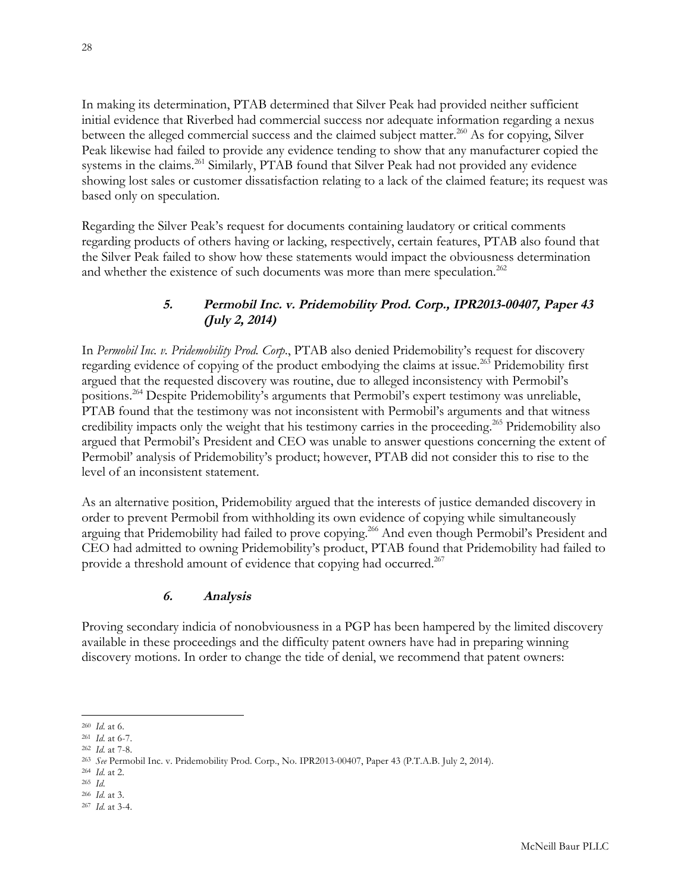<span id="page-27-0"></span>In making its determination, PTAB determined that Silver Peak had provided neither sufficient initial evidence that Riverbed had commercial success nor adequate information regarding a nexus between the alleged commercial success and the claimed subject matter.260 As for copying, Silver Peak likewise had failed to provide any evidence tending to show that any manufacturer copied the systems in the claims.<sup>261</sup> Similarly, PTAB found that Silver Peak had not provided any evidence showing lost sales or customer dissatisfaction relating to a lack of the claimed feature; its request was based only on speculation.

Regarding the Silver Peak's request for documents containing laudatory or critical comments regarding products of others having or lacking, respectively, certain features, PTAB also found that the Silver Peak failed to show how these statements would impact the obviousness determination and whether the existence of such documents was more than mere speculation.<sup>262</sup>

# **5. Permobil Inc. v. Pridemobility Prod. Corp., IPR2013-00407, Paper 43 (July 2, 2014)**

In *Permobil Inc. v. Pridemobility Prod. Corp*., PTAB also denied Pridemobility's request for discovery regarding evidence of copying of the product embodying the claims at issue.<sup>263</sup> Pridemobility first argued that the requested discovery was routine, due to alleged inconsistency with Permobil's positions.264 Despite Pridemobility's arguments that Permobil's expert testimony was unreliable, PTAB found that the testimony was not inconsistent with Permobil's arguments and that witness credibility impacts only the weight that his testimony carries in the proceeding.<sup>265</sup> Pridemobility also argued that Permobil's President and CEO was unable to answer questions concerning the extent of Permobil' analysis of Pridemobility's product; however, PTAB did not consider this to rise to the level of an inconsistent statement.

As an alternative position, Pridemobility argued that the interests of justice demanded discovery in order to prevent Permobil from withholding its own evidence of copying while simultaneously arguing that Pridemobility had failed to prove copying.266 And even though Permobil's President and CEO had admitted to owning Pridemobility's product, PTAB found that Pridemobility had failed to provide a threshold amount of evidence that copying had occurred.<sup>267</sup>

# **6. Analysis**

Proving secondary indicia of nonobviousness in a PGP has been hampered by the limited discovery available in these proceedings and the difficulty patent owners have had in preparing winning discovery motions. In order to change the tide of denial, we recommend that patent owners:

l <sup>260</sup> *Id*. at 6.

<sup>261</sup> *Id*. at 6-7.

<sup>262</sup> *Id*. at 7-8.

<sup>263</sup> *See* Permobil Inc. v. Pridemobility Prod. Corp., No. IPR2013-00407, Paper 43 (P.T.A.B. July 2, 2014).

<sup>264</sup> *Id*. at 2.

<sup>265</sup> *Id*.

<sup>266</sup> *Id*. at 3. <sup>267</sup> *Id*. at 3-4.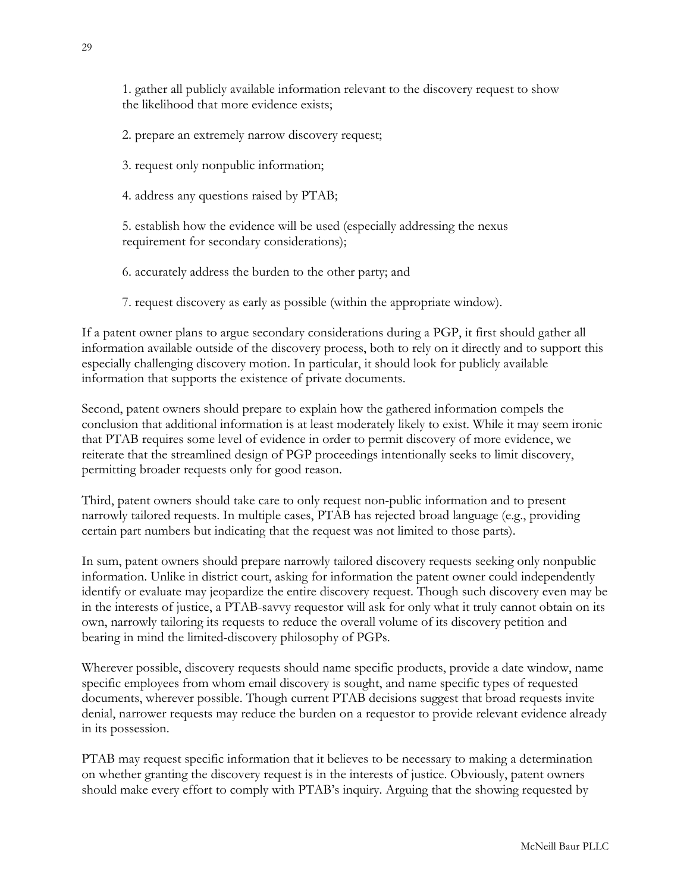1. gather all publicly available information relevant to the discovery request to show the likelihood that more evidence exists;

2. prepare an extremely narrow discovery request;

3. request only nonpublic information;

4. address any questions raised by PTAB;

5. establish how the evidence will be used (especially addressing the nexus requirement for secondary considerations);

6. accurately address the burden to the other party; and

7. request discovery as early as possible (within the appropriate window).

If a patent owner plans to argue secondary considerations during a PGP, it first should gather all information available outside of the discovery process, both to rely on it directly and to support this especially challenging discovery motion. In particular, it should look for publicly available information that supports the existence of private documents.

Second, patent owners should prepare to explain how the gathered information compels the conclusion that additional information is at least moderately likely to exist. While it may seem ironic that PTAB requires some level of evidence in order to permit discovery of more evidence, we reiterate that the streamlined design of PGP proceedings intentionally seeks to limit discovery, permitting broader requests only for good reason.

Third, patent owners should take care to only request non-public information and to present narrowly tailored requests. In multiple cases, PTAB has rejected broad language (e.g., providing certain part numbers but indicating that the request was not limited to those parts).

In sum, patent owners should prepare narrowly tailored discovery requests seeking only nonpublic information. Unlike in district court, asking for information the patent owner could independently identify or evaluate may jeopardize the entire discovery request. Though such discovery even may be in the interests of justice, a PTAB-savvy requestor will ask for only what it truly cannot obtain on its own, narrowly tailoring its requests to reduce the overall volume of its discovery petition and bearing in mind the limited-discovery philosophy of PGPs.

Wherever possible, discovery requests should name specific products, provide a date window, name specific employees from whom email discovery is sought, and name specific types of requested documents, wherever possible. Though current PTAB decisions suggest that broad requests invite denial, narrower requests may reduce the burden on a requestor to provide relevant evidence already in its possession.

PTAB may request specific information that it believes to be necessary to making a determination on whether granting the discovery request is in the interests of justice. Obviously, patent owners should make every effort to comply with PTAB's inquiry. Arguing that the showing requested by